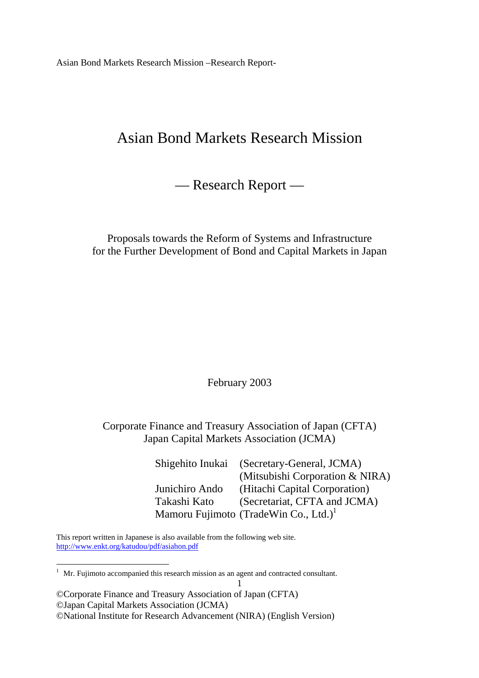# Asian Bond Markets Research Mission

— Research Report —

Proposals towards the Reform of Systems and Infrastructure for the Further Development of Bond and Capital Markets in Japan

February 2003

Corporate Finance and Treasury Association of Japan (CFTA) Japan Capital Markets Association (JCMA)

1

|                | Shigehito Inukai (Secretary-General, JCMA)        |
|----------------|---------------------------------------------------|
|                | (Mitsubishi Corporation & NIRA)                   |
| Junichiro Ando | (Hitachi Capital Corporation)                     |
| Takashi Kato   | (Secretariat, CFTA and JCMA)                      |
|                | Mamoru Fujimoto (TradeWin Co., Ltd.) <sup>1</sup> |

This report written in Japanese is also available from the following web site. http://www.enkt.org/katudou/pdf/asiahon.pdf

 $\overline{a}$ 

 $1$  Mr. Fujimoto accompanied this research mission as an agent and contracted consultant.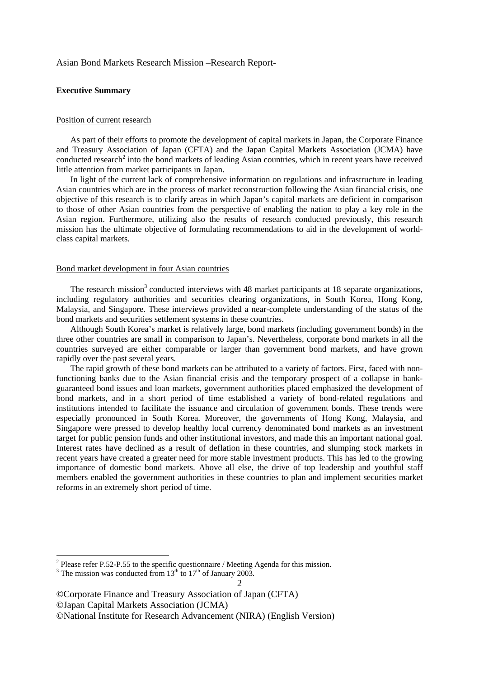#### **Executive Summary**

#### Position of current research

 As part of their efforts to promote the development of capital markets in Japan, the Corporate Finance and Treasury Association of Japan (CFTA) and the Japan Capital Markets Association (JCMA) have conducted research<sup>2</sup> into the bond markets of leading Asian countries, which in recent years have received little attention from market participants in Japan.

 In light of the current lack of comprehensive information on regulations and infrastructure in leading Asian countries which are in the process of market reconstruction following the Asian financial crisis, one objective of this research is to clarify areas in which Japan's capital markets are deficient in comparison to those of other Asian countries from the perspective of enabling the nation to play a key role in the Asian region. Furthermore, utilizing also the results of research conducted previously, this research mission has the ultimate objective of formulating recommendations to aid in the development of worldclass capital markets.

## Bond market development in four Asian countries

The research mission<sup>3</sup> conducted interviews with 48 market participants at 18 separate organizations, including regulatory authorities and securities clearing organizations, in South Korea, Hong Kong, Malaysia, and Singapore. These interviews provided a near-complete understanding of the status of the bond markets and securities settlement systems in these countries.

 Although South Korea's market is relatively large, bond markets (including government bonds) in the three other countries are small in comparison to Japan's. Nevertheless, corporate bond markets in all the countries surveyed are either comparable or larger than government bond markets, and have grown rapidly over the past several years.

 The rapid growth of these bond markets can be attributed to a variety of factors. First, faced with nonfunctioning banks due to the Asian financial crisis and the temporary prospect of a collapse in bankguaranteed bond issues and loan markets, government authorities placed emphasized the development of bond markets, and in a short period of time established a variety of bond-related regulations and institutions intended to facilitate the issuance and circulation of government bonds. These trends were especially pronounced in South Korea. Moreover, the governments of Hong Kong, Malaysia, and Singapore were pressed to develop healthy local currency denominated bond markets as an investment target for public pension funds and other institutional investors, and made this an important national goal. Interest rates have declined as a result of deflation in these countries, and slumping stock markets in recent years have created a greater need for more stable investment products. This has led to the growing importance of domestic bond markets. Above all else, the drive of top leadership and youthful staff members enabled the government authorities in these countries to plan and implement securities market reforms in an extremely short period of time.

1

<sup>&</sup>lt;sup>2</sup> Please refer P.52-P.55 to the specific questionnaire / Meeting Agenda for this mission.

<sup>2</sup>  <sup>3</sup> The mission was conducted from  $13<sup>th</sup>$  to  $17<sup>th</sup>$  of January 2003.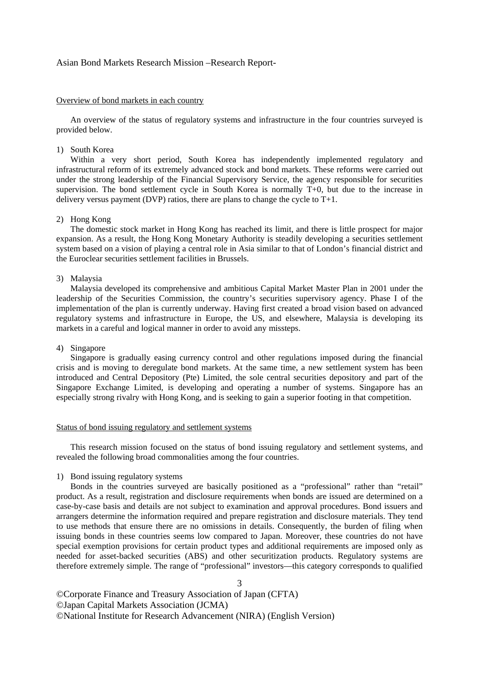#### Overview of bond markets in each country

 An overview of the status of regulatory systems and infrastructure in the four countries surveyed is provided below.

#### 1) South Korea

 Within a very short period, South Korea has independently implemented regulatory and infrastructural reform of its extremely advanced stock and bond markets. These reforms were carried out under the strong leadership of the Financial Supervisory Service, the agency responsible for securities supervision. The bond settlement cycle in South Korea is normally T+0, but due to the increase in delivery versus payment (DVP) ratios, there are plans to change the cycle to  $T+1$ .

#### 2) Hong Kong

 The domestic stock market in Hong Kong has reached its limit, and there is little prospect for major expansion. As a result, the Hong Kong Monetary Authority is steadily developing a securities settlement system based on a vision of playing a central role in Asia similar to that of London's financial district and the Euroclear securities settlement facilities in Brussels.

## 3) Malaysia

 Malaysia developed its comprehensive and ambitious Capital Market Master Plan in 2001 under the leadership of the Securities Commission, the country's securities supervisory agency. Phase I of the implementation of the plan is currently underway. Having first created a broad vision based on advanced regulatory systems and infrastructure in Europe, the US, and elsewhere, Malaysia is developing its markets in a careful and logical manner in order to avoid any missteps.

#### 4) Singapore

 Singapore is gradually easing currency control and other regulations imposed during the financial crisis and is moving to deregulate bond markets. At the same time, a new settlement system has been introduced and Central Depository (Pte) Limited, the sole central securities depository and part of the Singapore Exchange Limited, is developing and operating a number of systems. Singapore has an especially strong rivalry with Hong Kong, and is seeking to gain a superior footing in that competition.

#### Status of bond issuing regulatory and settlement systems

 This research mission focused on the status of bond issuing regulatory and settlement systems, and revealed the following broad commonalities among the four countries.

#### 1) Bond issuing regulatory systems

 Bonds in the countries surveyed are basically positioned as a "professional" rather than "retail" product. As a result, registration and disclosure requirements when bonds are issued are determined on a case-by-case basis and details are not subject to examination and approval procedures. Bond issuers and arrangers determine the information required and prepare registration and disclosure materials. They tend to use methods that ensure there are no omissions in details. Consequently, the burden of filing when issuing bonds in these countries seems low compared to Japan. Moreover, these countries do not have special exemption provisions for certain product types and additional requirements are imposed only as needed for asset-backed securities (ABS) and other securitization products. Regulatory systems are therefore extremely simple. The range of "professional" investors—this category corresponds to qualified

3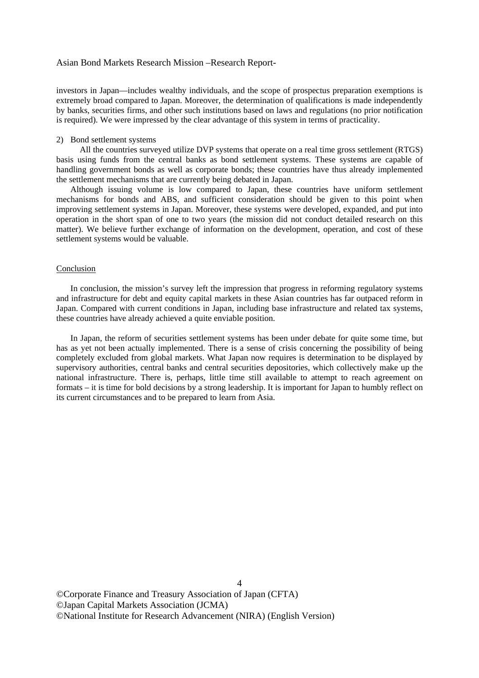investors in Japan—includes wealthy individuals, and the scope of prospectus preparation exemptions is extremely broad compared to Japan. Moreover, the determination of qualifications is made independently by banks, securities firms, and other such institutions based on laws and regulations (no prior notification is required). We were impressed by the clear advantage of this system in terms of practicality.

#### 2) Bond settlement systems

 All the countries surveyed utilize DVP systems that operate on a real time gross settlement (RTGS) basis using funds from the central banks as bond settlement systems. These systems are capable of handling government bonds as well as corporate bonds; these countries have thus already implemented the settlement mechanisms that are currently being debated in Japan.

 Although issuing volume is low compared to Japan, these countries have uniform settlement mechanisms for bonds and ABS, and sufficient consideration should be given to this point when improving settlement systems in Japan. Moreover, these systems were developed, expanded, and put into operation in the short span of one to two years (the mission did not conduct detailed research on this matter). We believe further exchange of information on the development, operation, and cost of these settlement systems would be valuable.

#### Conclusion

 In conclusion, the mission's survey left the impression that progress in reforming regulatory systems and infrastructure for debt and equity capital markets in these Asian countries has far outpaced reform in Japan. Compared with current conditions in Japan, including base infrastructure and related tax systems, these countries have already achieved a quite enviable position.

 In Japan, the reform of securities settlement systems has been under debate for quite some time, but has as yet not been actually implemented. There is a sense of crisis concerning the possibility of being completely excluded from global markets. What Japan now requires is determination to be displayed by supervisory authorities, central banks and central securities depositories, which collectively make up the national infrastructure. There is, perhaps, little time still available to attempt to reach agreement on formats – it is time for bold decisions by a strong leadership. It is important for Japan to humbly reflect on its current circumstances and to be prepared to learn from Asia.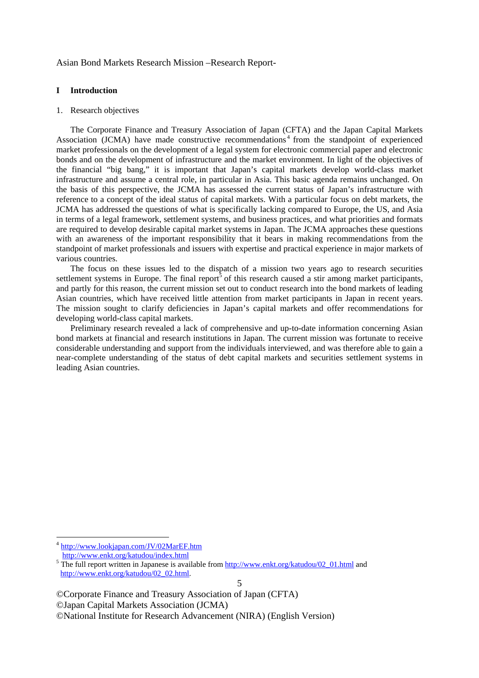#### **I Introduction**

#### 1. Research objectives

 The Corporate Finance and Treasury Association of Japan (CFTA) and the Japan Capital Markets Association (JCMA) have made constructive recommendations<sup>4</sup> from the standpoint of experienced market professionals on the development of a legal system for electronic commercial paper and electronic bonds and on the development of infrastructure and the market environment. In light of the objectives of the financial "big bang," it is important that Japan's capital markets develop world-class market infrastructure and assume a central role, in particular in Asia. This basic agenda remains unchanged. On the basis of this perspective, the JCMA has assessed the current status of Japan's infrastructure with reference to a concept of the ideal status of capital markets. With a particular focus on debt markets, the JCMA has addressed the questions of what is specifically lacking compared to Europe, the US, and Asia in terms of a legal framework, settlement systems, and business practices, and what priorities and formats are required to develop desirable capital market systems in Japan. The JCMA approaches these questions with an awareness of the important responsibility that it bears in making recommendations from the standpoint of market professionals and issuers with expertise and practical experience in major markets of various countries.

 The focus on these issues led to the dispatch of a mission two years ago to research securities settlement systems in Europe. The final report<sup>5</sup> of this research caused a stir among market participants, and partly for this reason, the current mission set out to conduct research into the bond markets of leading Asian countries, which have received little attention from market participants in Japan in recent years. The mission sought to clarify deficiencies in Japan's capital markets and offer recommendations for developing world-class capital markets.

 Preliminary research revealed a lack of comprehensive and up-to-date information concerning Asian bond markets at financial and research institutions in Japan. The current mission was fortunate to receive considerable understanding and support from the individuals interviewed, and was therefore able to gain a near-complete understanding of the status of debt capital markets and securities settlement systems in leading Asian countries.

-

<sup>4</sup> http://www.lookjapan.com/JV/02MarEF.htm

http://www.enkt.org/katudou/index.html 5

<sup>&</sup>lt;sup>5</sup> The full report written in Japanese is available from http://www.enkt.org/katudou/02\_01.html and http://www.enkt.org/katudou/02\_02.html.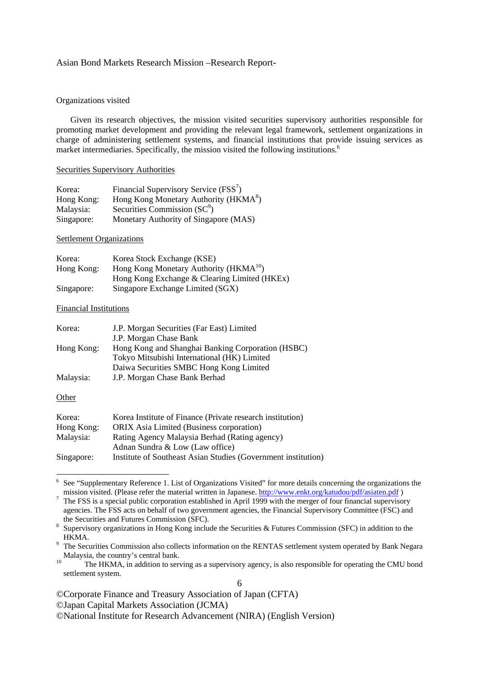#### Organizations visited

 Given its research objectives, the mission visited securities supervisory authorities responsible for promoting market development and providing the relevant legal framework, settlement organizations in charge of administering settlement systems, and financial institutions that provide issuing services as market intermediaries. Specifically, the mission visited the following institutions.<sup>6</sup>

#### Securities Supervisory Authorities

| Korea:     | Financial Supervisory Service (FSS <sup>7</sup> ) |
|------------|---------------------------------------------------|
| Hong Kong: | Hong Kong Monetary Authority (HKMA <sup>8</sup> ) |
| Malaysia:  | Securities Commission $(SC^9)$                    |
| Singapore: | Monetary Authority of Singapore (MAS)             |

#### Settlement Organizations

| Korea:     | Korea Stock Exchange (KSE)                   |
|------------|----------------------------------------------|
| Hong Kong: | Hong Kong Monetary Authority ( $HKMA^{10}$ ) |
|            | Hong Kong Exchange & Clearing Limited (HKEx) |
| Singapore: | Singapore Exchange Limited (SGX)             |

#### Financial Institutions

| Korea:     | J.P. Morgan Securities (Far East) Limited         |
|------------|---------------------------------------------------|
|            | J.P. Morgan Chase Bank                            |
| Hong Kong: | Hong Kong and Shanghai Banking Corporation (HSBC) |
|            | Tokyo Mitsubishi International (HK) Limited       |
|            | Daiwa Securities SMBC Hong Kong Limited           |
| Malaysia:  | J.P. Morgan Chase Bank Berhad                     |
|            |                                                   |

#### **Other**

-

| Korea:     | Korea Institute of Finance (Private research institution)     |
|------------|---------------------------------------------------------------|
| Hong Kong: | <b>ORIX</b> Asia Limited (Business corporation)               |
|            |                                                               |
| Malaysia:  | Rating Agency Malaysia Berhad (Rating agency)                 |
|            | Adnan Sundra & Low (Law office)                               |
| Singapore: | Institute of Southeast Asian Studies (Government institution) |

<sup>6</sup> See "Supplementary Reference 1. List of Organizations Visited" for more details concerning the organizations the mission visited. (Please refer the material written in Japanese. http://www.enkt.org/katudou/pdf/asiaten.pdf)

 $T$  The FSS is a special public corporation established in April 1999 with the merger of four financial supervisory agencies. The FSS acts on behalf of two government agencies, the Financial Supervisory Committee (FSC) and the Securities and Futures Commission (SFC).

the Securities and Futures Commission (SFC). 8 Supervisory organizations in Hong Kong include the Securities & Futures Commission (SFC) in addition to the

HKMA. 9 The Securities Commission also collects information on the RENTAS settlement system operated by Bank Negara Malaysia, the country's central bank.<br>
<sup>10</sup> The HKMA, in addition to serving as a supervisory agency, is also responsible for operating the CMU bond

<sup>6</sup>  settlement system.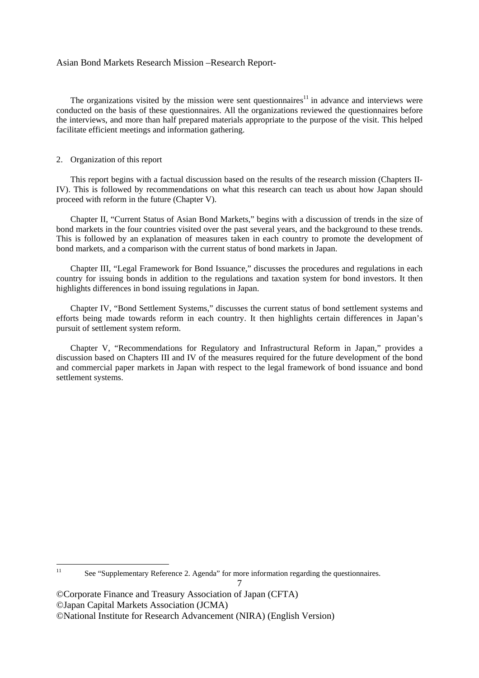The organizations visited by the mission were sent questionnaires<sup>11</sup> in advance and interviews were conducted on the basis of these questionnaires. All the organizations reviewed the questionnaires before the interviews, and more than half prepared materials appropriate to the purpose of the visit. This helped facilitate efficient meetings and information gathering.

#### 2. Organization of this report

 This report begins with a factual discussion based on the results of the research mission (Chapters II-IV). This is followed by recommendations on what this research can teach us about how Japan should proceed with reform in the future (Chapter V).

 Chapter II, "Current Status of Asian Bond Markets," begins with a discussion of trends in the size of bond markets in the four countries visited over the past several years, and the background to these trends. This is followed by an explanation of measures taken in each country to promote the development of bond markets, and a comparison with the current status of bond markets in Japan.

 Chapter III, "Legal Framework for Bond Issuance," discusses the procedures and regulations in each country for issuing bonds in addition to the regulations and taxation system for bond investors. It then highlights differences in bond issuing regulations in Japan.

 Chapter IV, "Bond Settlement Systems," discusses the current status of bond settlement systems and efforts being made towards reform in each country. It then highlights certain differences in Japan's pursuit of settlement system reform.

 Chapter V, "Recommendations for Regulatory and Infrastructural Reform in Japan," provides a discussion based on Chapters III and IV of the measures required for the future development of the bond and commercial paper markets in Japan with respect to the legal framework of bond issuance and bond settlement systems.

 $11$ See "Supplementary Reference 2. Agenda" for more information regarding the questionnaires.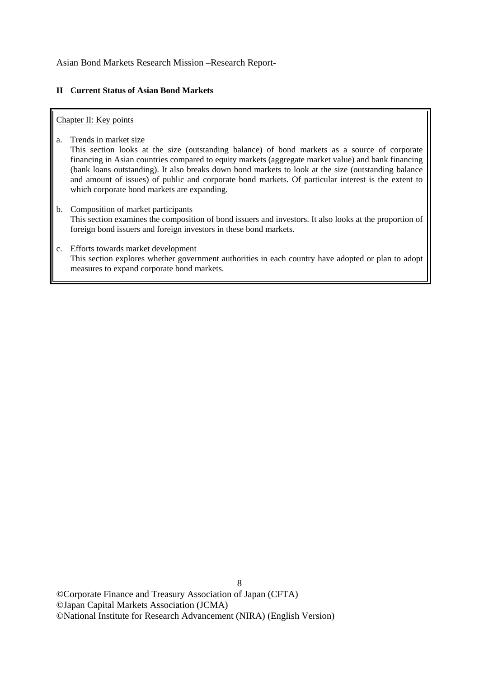## **II Current Status of Asian Bond Markets**

## Chapter II: Key points

a. Trends in market size

This section looks at the size (outstanding balance) of bond markets as a source of corporate financing in Asian countries compared to equity markets (aggregate market value) and bank financing (bank loans outstanding). It also breaks down bond markets to look at the size (outstanding balance and amount of issues) of public and corporate bond markets. Of particular interest is the extent to which corporate bond markets are expanding.

- b. Composition of market participants This section examines the composition of bond issuers and investors. It also looks at the proportion of foreign bond issuers and foreign investors in these bond markets.
- c. Efforts towards market development This section explores whether government authorities in each country have adopted or plan to adopt measures to expand corporate bond markets.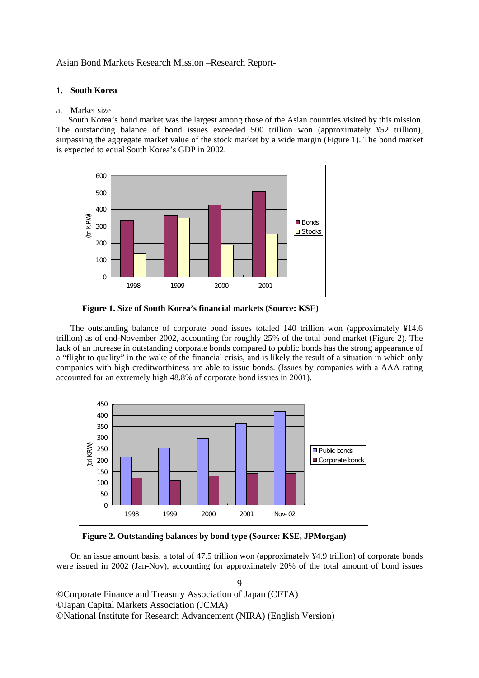## **1. South Korea**

## a. Market size

 South Korea's bond market was the largest among those of the Asian countries visited by this mission. The outstanding balance of bond issues exceeded 500 trillion won (approximately ¥52 trillion), surpassing the aggregate market value of the stock market by a wide margin (Figure 1). The bond market is expected to equal South Korea's GDP in 2002.



**Figure 1. Size of South Korea's financial markets (Source: KSE)** 

 The outstanding balance of corporate bond issues totaled 140 trillion won (approximately ¥14.6 trillion) as of end-November 2002, accounting for roughly 25% of the total bond market (Figure 2). The lack of an increase in outstanding corporate bonds compared to public bonds has the strong appearance of a "flight to quality" in the wake of the financial crisis, and is likely the result of a situation in which only companies with high creditworthiness are able to issue bonds. (Issues by companies with a AAA rating accounted for an extremely high 48.8% of corporate bond issues in 2001).



**Figure 2. Outstanding balances by bond type (Source: KSE, JPMorgan)** 

 On an issue amount basis, a total of 47.5 trillion won (approximately ¥4.9 trillion) of corporate bonds were issued in 2002 (Jan-Nov), accounting for approximately 20% of the total amount of bond issues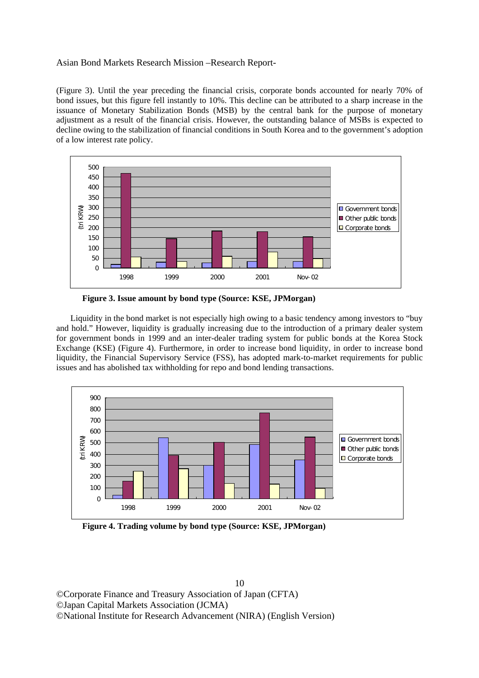(Figure 3). Until the year preceding the financial crisis, corporate bonds accounted for nearly 70% of bond issues, but this figure fell instantly to 10%. This decline can be attributed to a sharp increase in the issuance of Monetary Stabilization Bonds (MSB) by the central bank for the purpose of monetary adjustment as a result of the financial crisis. However, the outstanding balance of MSBs is expected to decline owing to the stabilization of financial conditions in South Korea and to the government's adoption of a low interest rate policy.



**Figure 3. Issue amount by bond type (Source: KSE, JPMorgan)** 

 Liquidity in the bond market is not especially high owing to a basic tendency among investors to "buy and hold." However, liquidity is gradually increasing due to the introduction of a primary dealer system for government bonds in 1999 and an inter-dealer trading system for public bonds at the Korea Stock Exchange (KSE) (Figure 4). Furthermore, in order to increase bond liquidity, in order to increase bond liquidity, the Financial Supervisory Service (FSS), has adopted mark-to-market requirements for public issues and has abolished tax withholding for repo and bond lending transactions.



**Figure 4. Trading volume by bond type (Source: KSE, JPMorgan)**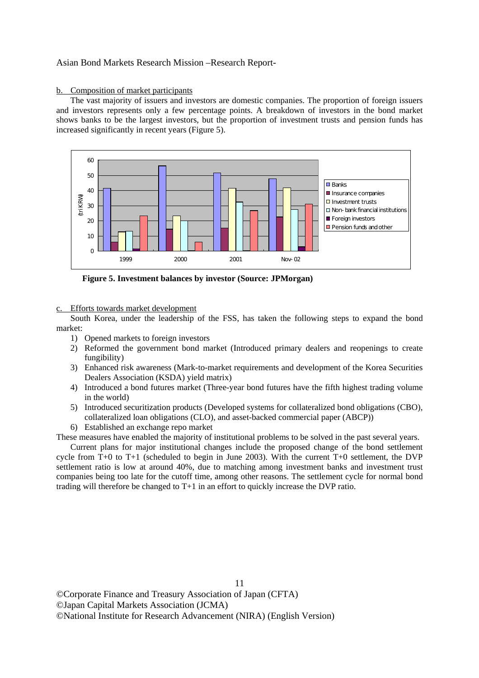#### b. Composition of market participants

 The vast majority of issuers and investors are domestic companies. The proportion of foreign issuers and investors represents only a few percentage points. A breakdown of investors in the bond market shows banks to be the largest investors, but the proportion of investment trusts and pension funds has increased significantly in recent years (Figure 5).



**Figure 5. Investment balances by investor (Source: JPMorgan)** 

c. Efforts towards market development

 South Korea, under the leadership of the FSS, has taken the following steps to expand the bond market:

- 1) Opened markets to foreign investors
- 2) Reformed the government bond market (Introduced primary dealers and reopenings to create fungibility)
- 3) Enhanced risk awareness (Mark-to-market requirements and development of the Korea Securities Dealers Association (KSDA) yield matrix)
- 4) Introduced a bond futures market (Three-year bond futures have the fifth highest trading volume in the world)
- 5) Introduced securitization products (Developed systems for collateralized bond obligations (CBO), collateralized loan obligations (CLO), and asset-backed commercial paper (ABCP))
- 6) Established an exchange repo market

These measures have enabled the majority of institutional problems to be solved in the past several years.

 Current plans for major institutional changes include the proposed change of the bond settlement cycle from  $T+0$  to  $T+1$  (scheduled to begin in June 2003). With the current  $T+0$  settlement, the DVP settlement ratio is low at around 40%, due to matching among investment banks and investment trust companies being too late for the cutoff time, among other reasons. The settlement cycle for normal bond trading will therefore be changed to T+1 in an effort to quickly increase the DVP ratio.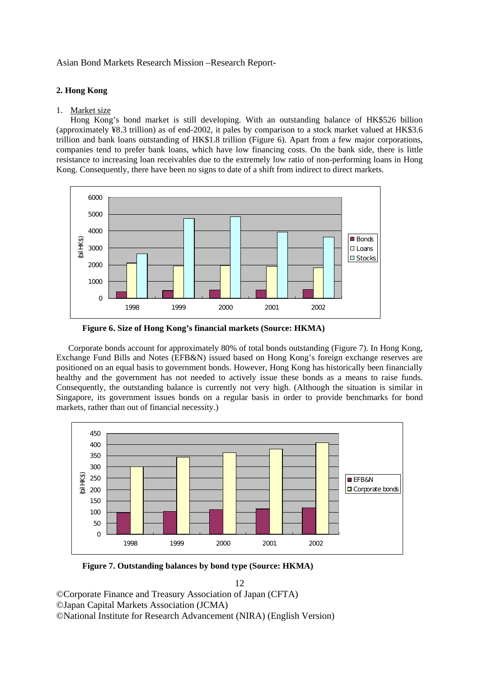## **2. Hong Kong**

## 1. Market size

 Hong Kong's bond market is still developing. With an outstanding balance of HK\$526 billion (approximately ¥8.3 trillion) as of end-2002, it pales by comparison to a stock market valued at HK\$3.6 trillion and bank loans outstanding of HK\$1.8 trillion (Figure 6). Apart from a few major corporations, companies tend to prefer bank loans, which have low financing costs. On the bank side, there is little resistance to increasing loan receivables due to the extremely low ratio of non-performing loans in Hong Kong. Consequently, there have been no signs to date of a shift from indirect to direct markets.



**Figure 6. Size of Hong Kong's financial markets (Source: HKMA)** 

 Corporate bonds account for approximately 80% of total bonds outstanding (Figure 7). In Hong Kong, Exchange Fund Bills and Notes (EFB&N) issued based on Hong Kong's foreign exchange reserves are positioned on an equal basis to government bonds. However, Hong Kong has historically been financially healthy and the government has not needed to actively issue these bonds as a means to raise funds. Consequently, the outstanding balance is currently not very high. (Although the situation is similar in Singapore, its government issues bonds on a regular basis in order to provide benchmarks for bond markets, rather than out of financial necessity.)



**Figure 7. Outstanding balances by bond type (Source: HKMA)** 

12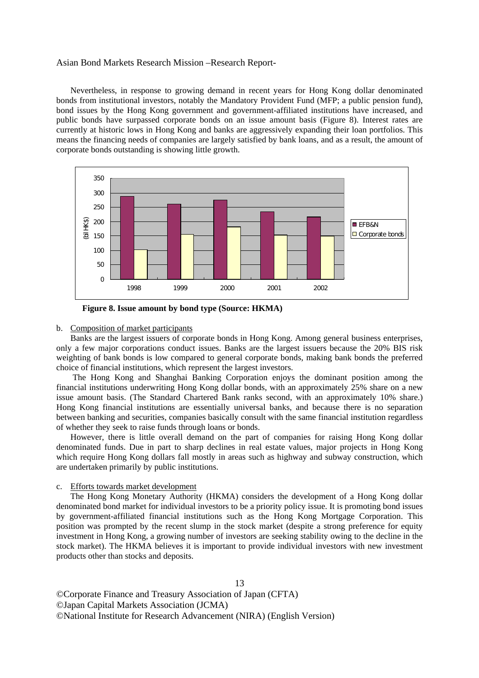Nevertheless, in response to growing demand in recent years for Hong Kong dollar denominated bonds from institutional investors, notably the Mandatory Provident Fund (MFP; a public pension fund), bond issues by the Hong Kong government and government-affiliated institutions have increased, and public bonds have surpassed corporate bonds on an issue amount basis (Figure 8). Interest rates are currently at historic lows in Hong Kong and banks are aggressively expanding their loan portfolios. This means the financing needs of companies are largely satisfied by bank loans, and as a result, the amount of corporate bonds outstanding is showing little growth.



**Figure 8. Issue amount by bond type (Source: HKMA)** 

#### b. Composition of market participants

 Banks are the largest issuers of corporate bonds in Hong Kong. Among general business enterprises, only a few major corporations conduct issues. Banks are the largest issuers because the 20% BIS risk weighting of bank bonds is low compared to general corporate bonds, making bank bonds the preferred choice of financial institutions, which represent the largest investors.

 The Hong Kong and Shanghai Banking Corporation enjoys the dominant position among the financial institutions underwriting Hong Kong dollar bonds, with an approximately 25% share on a new issue amount basis. (The Standard Chartered Bank ranks second, with an approximately 10% share.) Hong Kong financial institutions are essentially universal banks, and because there is no separation between banking and securities, companies basically consult with the same financial institution regardless of whether they seek to raise funds through loans or bonds.

 However, there is little overall demand on the part of companies for raising Hong Kong dollar denominated funds. Due in part to sharp declines in real estate values, major projects in Hong Kong which require Hong Kong dollars fall mostly in areas such as highway and subway construction, which are undertaken primarily by public institutions.

#### c. Efforts towards market development

 The Hong Kong Monetary Authority (HKMA) considers the development of a Hong Kong dollar denominated bond market for individual investors to be a priority policy issue. It is promoting bond issues by government-affiliated financial institutions such as the Hong Kong Mortgage Corporation. This position was prompted by the recent slump in the stock market (despite a strong preference for equity investment in Hong Kong, a growing number of investors are seeking stability owing to the decline in the stock market). The HKMA believes it is important to provide individual investors with new investment products other than stocks and deposits.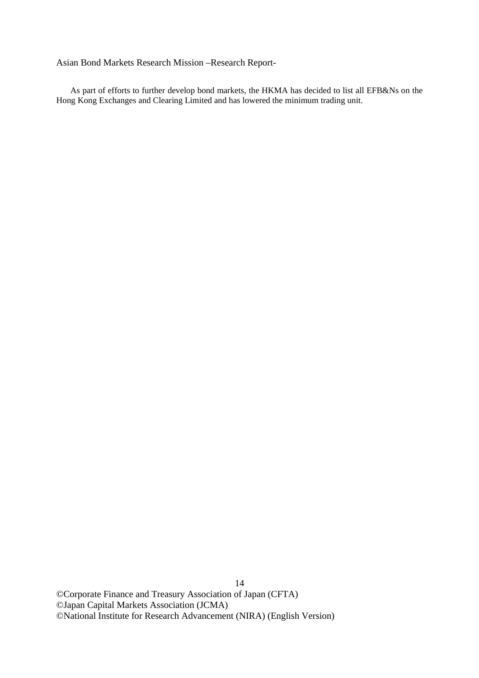As part of efforts to further develop bond markets, the HKMA has decided to list all EFB&Ns on the Hong Kong Exchanges and Clearing Limited and has lowered the minimum trading unit.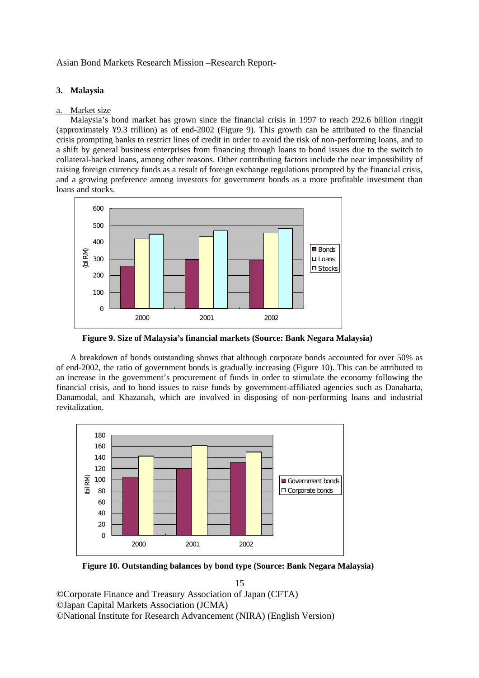## **3. Malaysia**

## Market size

 Malaysia's bond market has grown since the financial crisis in 1997 to reach 292.6 billion ringgit (approximately ¥9.3 trillion) as of end-2002 (Figure 9). This growth can be attributed to the financial crisis prompting banks to restrict lines of credit in order to avoid the risk of non-performing loans, and to a shift by general business enterprises from financing through loans to bond issues due to the switch to collateral-backed loans, among other reasons. Other contributing factors include the near impossibility of raising foreign currency funds as a result of foreign exchange regulations prompted by the financial crisis, and a growing preference among investors for government bonds as a more profitable investment than loans and stocks.



**Figure 9. Size of Malaysia's financial markets (Source: Bank Negara Malaysia)** 

 A breakdown of bonds outstanding shows that although corporate bonds accounted for over 50% as of end-2002, the ratio of government bonds is gradually increasing (Figure 10). This can be attributed to an increase in the government's procurement of funds in order to stimulate the economy following the financial crisis, and to bond issues to raise funds by government-affiliated agencies such as Danaharta, Danamodal, and Khazanah, which are involved in disposing of non-performing loans and industrial revitalization.



**Figure 10. Outstanding balances by bond type (Source: Bank Negara Malaysia)**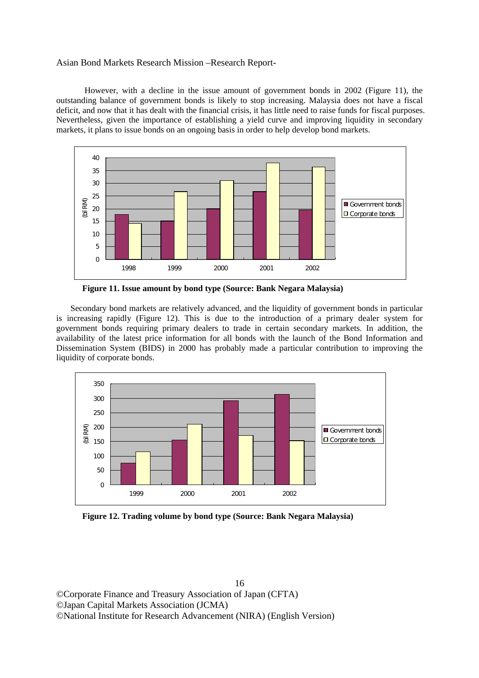However, with a decline in the issue amount of government bonds in 2002 (Figure 11), the outstanding balance of government bonds is likely to stop increasing. Malaysia does not have a fiscal deficit, and now that it has dealt with the financial crisis, it has little need to raise funds for fiscal purposes. Nevertheless, given the importance of establishing a yield curve and improving liquidity in secondary markets, it plans to issue bonds on an ongoing basis in order to help develop bond markets.



**Figure 11. Issue amount by bond type (Source: Bank Negara Malaysia)** 

 Secondary bond markets are relatively advanced, and the liquidity of government bonds in particular is increasing rapidly (Figure 12). This is due to the introduction of a primary dealer system for government bonds requiring primary dealers to trade in certain secondary markets. In addition, the availability of the latest price information for all bonds with the launch of the Bond Information and Dissemination System (BIDS) in 2000 has probably made a particular contribution to improving the liquidity of corporate bonds.



**Figure 12. Trading volume by bond type (Source: Bank Negara Malaysia)**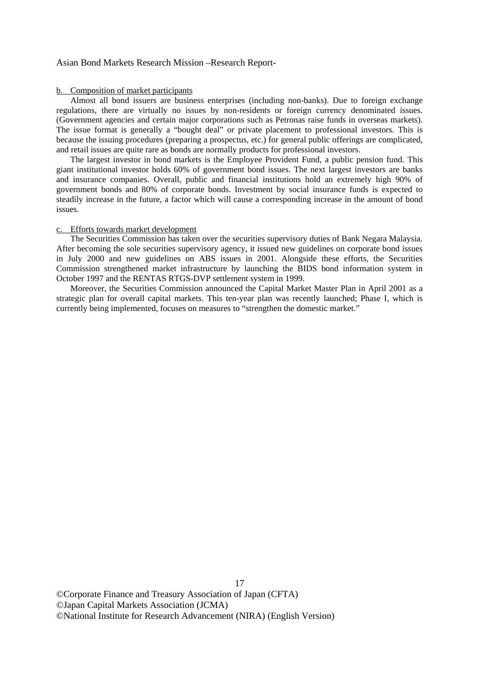#### b. Composition of market participants

 Almost all bond issuers are business enterprises (including non-banks). Due to foreign exchange regulations, there are virtually no issues by non-residents or foreign currency denominated issues. (Government agencies and certain major corporations such as Petronas raise funds in overseas markets). The issue format is generally a "bought deal" or private placement to professional investors. This is because the issuing procedures (preparing a prospectus, etc.) for general public offerings are complicated, and retail issues are quite rare as bonds are normally products for professional investors.

 The largest investor in bond markets is the Employee Provident Fund, a public pension fund. This giant institutional investor holds 60% of government bond issues. The next largest investors are banks and insurance companies. Overall, public and financial institutions hold an extremely high 90% of government bonds and 80% of corporate bonds. Investment by social insurance funds is expected to steadily increase in the future, a factor which will cause a corresponding increase in the amount of bond issues.

#### c. Efforts towards market development

 The Securities Commission has taken over the securities supervisory duties of Bank Negara Malaysia. After becoming the sole securities supervisory agency, it issued new guidelines on corporate bond issues in July 2000 and new guidelines on ABS issues in 2001. Alongside these efforts, the Securities Commission strengthened market infrastructure by launching the BIDS bond information system in October 1997 and the RENTAS RTGS-DVP settlement system in 1999.

 Moreover, the Securities Commission announced the Capital Market Master Plan in April 2001 as a strategic plan for overall capital markets. This ten-year plan was recently launched; Phase I, which is currently being implemented, focuses on measures to "strengthen the domestic market."

©Corporate Finance and Treasury Association of Japan (CFTA) ©Japan Capital Markets Association (JCMA) ©National Institute for Research Advancement (NIRA) (English Version)

17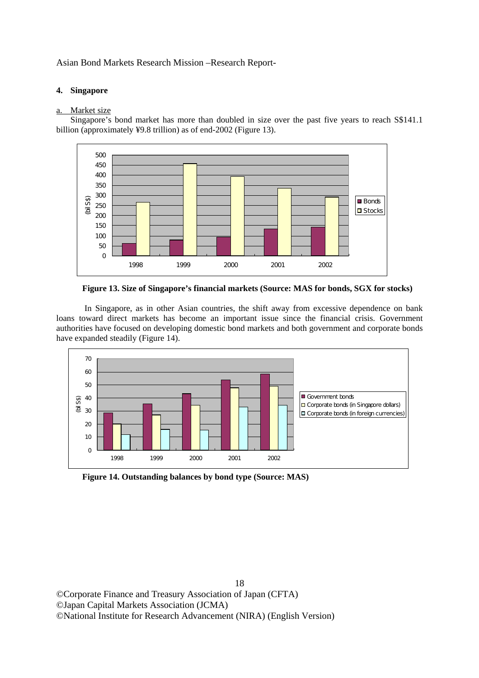## **4. Singapore**

#### a. Market size

 Singapore's bond market has more than doubled in size over the past five years to reach S\$141.1 billion (approximately ¥9.8 trillion) as of end-2002 (Figure 13).



**Figure 13. Size of Singapore's financial markets (Source: MAS for bonds, SGX for stocks)** 

 In Singapore, as in other Asian countries, the shift away from excessive dependence on bank loans toward direct markets has become an important issue since the financial crisis. Government authorities have focused on developing domestic bond markets and both government and corporate bonds have expanded steadily (Figure 14).



**Figure 14. Outstanding balances by bond type (Source: MAS)**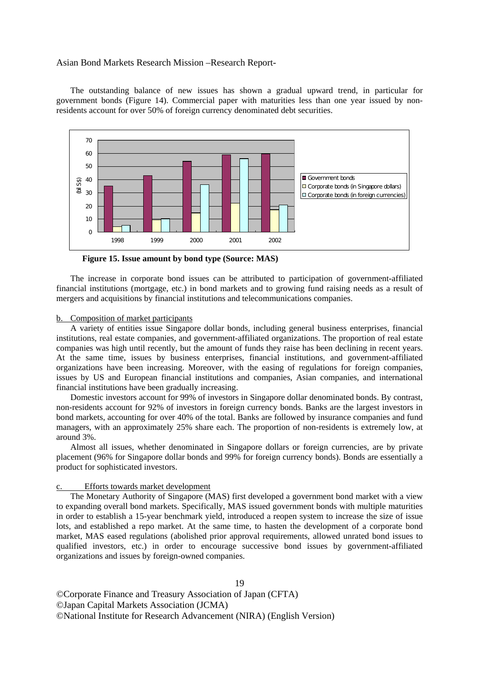The outstanding balance of new issues has shown a gradual upward trend, in particular for government bonds (Figure 14). Commercial paper with maturities less than one year issued by nonresidents account for over 50% of foreign currency denominated debt securities.



**Figure 15. Issue amount by bond type (Source: MAS)** 

 The increase in corporate bond issues can be attributed to participation of government-affiliated financial institutions (mortgage, etc.) in bond markets and to growing fund raising needs as a result of mergers and acquisitions by financial institutions and telecommunications companies.

#### b. Composition of market participants

 A variety of entities issue Singapore dollar bonds, including general business enterprises, financial institutions, real estate companies, and government-affiliated organizations. The proportion of real estate companies was high until recently, but the amount of funds they raise has been declining in recent years. At the same time, issues by business enterprises, financial institutions, and government-affiliated organizations have been increasing. Moreover, with the easing of regulations for foreign companies, issues by US and European financial institutions and companies, Asian companies, and international financial institutions have been gradually increasing.

 Domestic investors account for 99% of investors in Singapore dollar denominated bonds. By contrast, non-residents account for 92% of investors in foreign currency bonds. Banks are the largest investors in bond markets, accounting for over 40% of the total. Banks are followed by insurance companies and fund managers, with an approximately 25% share each. The proportion of non-residents is extremely low, at around 3%.

 Almost all issues, whether denominated in Singapore dollars or foreign currencies, are by private placement (96% for Singapore dollar bonds and 99% for foreign currency bonds). Bonds are essentially a product for sophisticated investors.

#### Efforts towards market development

 The Monetary Authority of Singapore (MAS) first developed a government bond market with a view to expanding overall bond markets. Specifically, MAS issued government bonds with multiple maturities in order to establish a 15-year benchmark yield, introduced a reopen system to increase the size of issue lots, and established a repo market. At the same time, to hasten the development of a corporate bond market, MAS eased regulations (abolished prior approval requirements, allowed unrated bond issues to qualified investors, etc.) in order to encourage successive bond issues by government-affiliated organizations and issues by foreign-owned companies.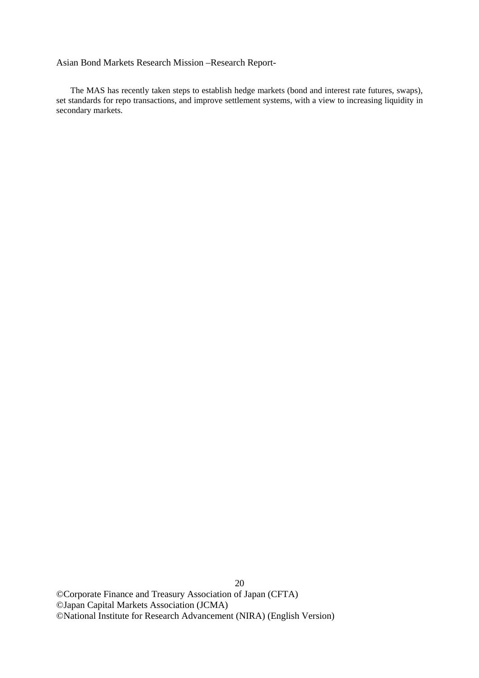The MAS has recently taken steps to establish hedge markets (bond and interest rate futures, swaps), set standards for repo transactions, and improve settlement systems, with a view to increasing liquidity in secondary markets.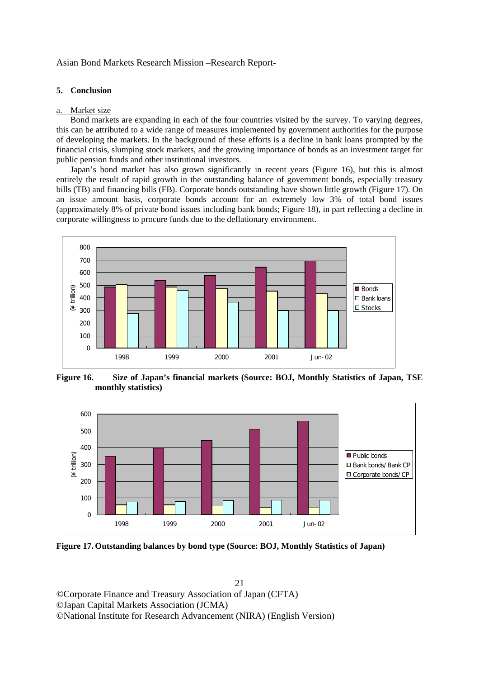#### **5. Conclusion**

#### a. Market size

 Bond markets are expanding in each of the four countries visited by the survey. To varying degrees, this can be attributed to a wide range of measures implemented by government authorities for the purpose of developing the markets. In the background of these efforts is a decline in bank loans prompted by the financial crisis, slumping stock markets, and the growing importance of bonds as an investment target for public pension funds and other institutional investors.

 Japan's bond market has also grown significantly in recent years (Figure 16), but this is almost entirely the result of rapid growth in the outstanding balance of government bonds, especially treasury bills (TB) and financing bills (FB). Corporate bonds outstanding have shown little growth (Figure 17). On an issue amount basis, corporate bonds account for an extremely low 3% of total bond issues (approximately 8% of private bond issues including bank bonds; Figure 18), in part reflecting a decline in corporate willingness to procure funds due to the deflationary environment.



**Figure 16. Size of Japan's financial markets (Source: BOJ, Monthly Statistics of Japan, TSE monthly statistics)** 



**Figure 17. Outstanding balances by bond type (Source: BOJ, Monthly Statistics of Japan)**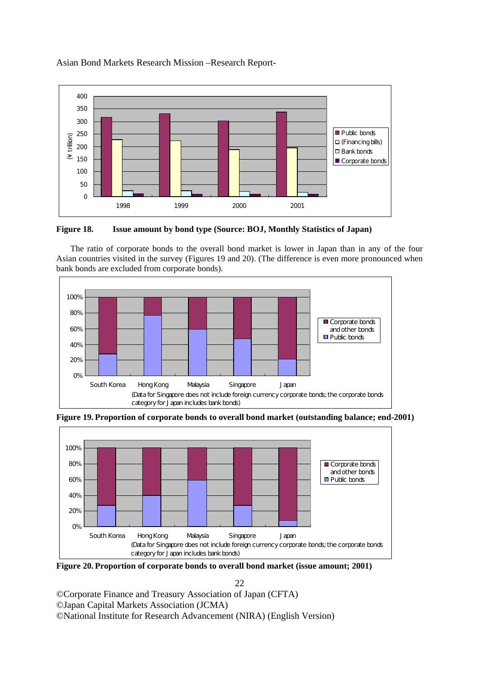

**Figure 18. Issue amount by bond type (Source: BOJ, Monthly Statistics of Japan)** 

 The ratio of corporate bonds to the overall bond market is lower in Japan than in any of the four Asian countries visited in the survey (Figures 19 and 20). (The difference is even more pronounced when bank bonds are excluded from corporate bonds).



**Figure 19. Proportion of corporate bonds to overall bond market (outstanding balance; end-2001)** 



**Figure 20. Proportion of corporate bonds to overall bond market (issue amount; 2001)** 

22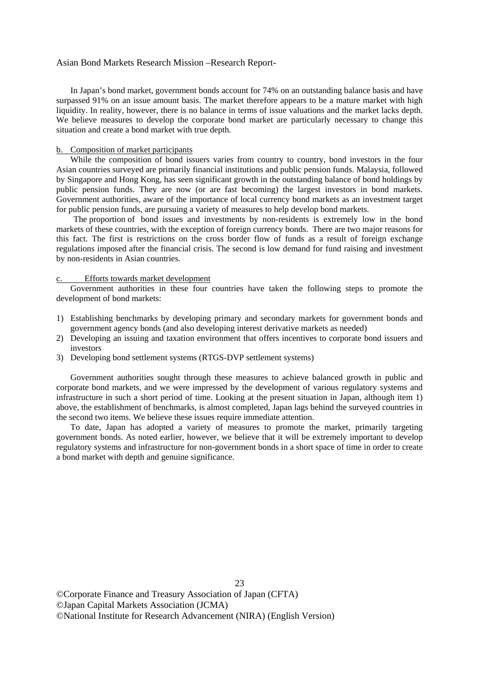In Japan's bond market, government bonds account for 74% on an outstanding balance basis and have surpassed 91% on an issue amount basis. The market therefore appears to be a mature market with high liquidity. In reality, however, there is no balance in terms of issue valuations and the market lacks depth. We believe measures to develop the corporate bond market are particularly necessary to change this situation and create a bond market with true depth.

#### b. Composition of market participants

While the composition of bond issuers varies from country to country, bond investors in the four Asian countries surveyed are primarily financial institutions and public pension funds. Malaysia, followed by Singapore and Hong Kong, has seen significant growth in the outstanding balance of bond holdings by public pension funds. They are now (or are fast becoming) the largest investors in bond markets. Government authorities, aware of the importance of local currency bond markets as an investment target for public pension funds, are pursuing a variety of measures to help develop bond markets.

The proportion of bond issues and investments by non-residents is extremely low in the bond markets of these countries, with the exception of foreign currency bonds. There are two major reasons for this fact. The first is restrictions on the cross border flow of funds as a result of foreign exchange regulations imposed after the financial crisis. The second is low demand for fund raising and investment by non-residents in Asian countries.

#### c. Efforts towards market development

 Government authorities in these four countries have taken the following steps to promote the development of bond markets:

- 1) Establishing benchmarks by developing primary and secondary markets for government bonds and government agency bonds (and also developing interest derivative markets as needed)
- 2) Developing an issuing and taxation environment that offers incentives to corporate bond issuers and investors
- 3) Developing bond settlement systems (RTGS-DVP settlement systems)

 Government authorities sought through these measures to achieve balanced growth in public and corporate bond markets, and we were impressed by the development of various regulatory systems and infrastructure in such a short period of time. Looking at the present situation in Japan, although item 1) above, the establishment of benchmarks, is almost completed, Japan lags behind the surveyed countries in the second two items. We believe these issues require immediate attention.

 To date, Japan has adopted a variety of measures to promote the market, primarily targeting government bonds. As noted earlier, however, we believe that it will be extremely important to develop regulatory systems and infrastructure for non-government bonds in a short space of time in order to create a bond market with depth and genuine significance.

23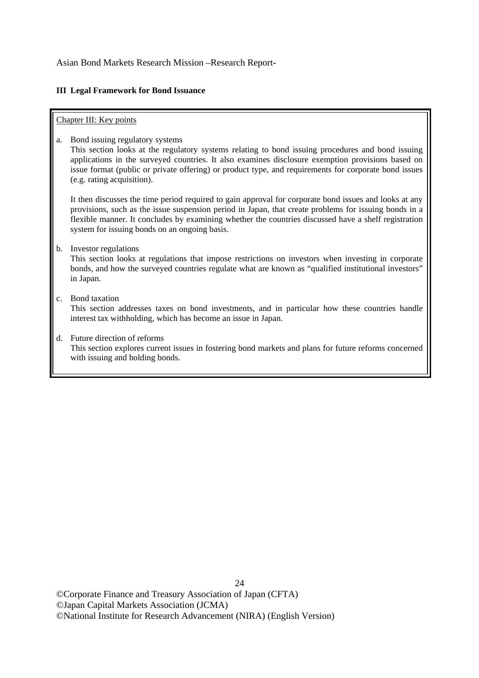## **III Legal Framework for Bond Issuance**

## Chapter III: Key points

a. Bond issuing regulatory systems

 This section looks at the regulatory systems relating to bond issuing procedures and bond issuing applications in the surveyed countries. It also examines disclosure exemption provisions based on issue format (public or private offering) or product type, and requirements for corporate bond issues (e.g. rating acquisition).

 It then discusses the time period required to gain approval for corporate bond issues and looks at any provisions, such as the issue suspension period in Japan, that create problems for issuing bonds in a flexible manner. It concludes by examining whether the countries discussed have a shelf registration system for issuing bonds on an ongoing basis.

b. Investor regulations

 This section looks at regulations that impose restrictions on investors when investing in corporate bonds, and how the surveyed countries regulate what are known as "qualified institutional investors" in Japan.

c. Bond taxation

 This section addresses taxes on bond investments, and in particular how these countries handle interest tax withholding, which has become an issue in Japan.

d. Future direction of reforms This section explores current issues in fostering bond markets and plans for future reforms concerned with issuing and holding bonds.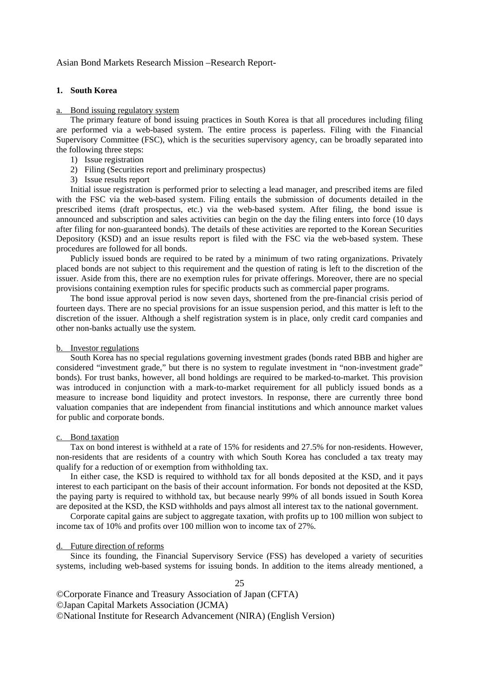#### **1. South Korea**

#### a. Bond issuing regulatory system

 The primary feature of bond issuing practices in South Korea is that all procedures including filing are performed via a web-based system. The entire process is paperless. Filing with the Financial Supervisory Committee (FSC), which is the securities supervisory agency, can be broadly separated into the following three steps:

- 1) Issue registration
- 2) Filing (Securities report and preliminary prospectus)
- 3) Issue results report

 Initial issue registration is performed prior to selecting a lead manager, and prescribed items are filed with the FSC via the web-based system. Filing entails the submission of documents detailed in the prescribed items (draft prospectus, etc.) via the web-based system. After filing, the bond issue is announced and subscription and sales activities can begin on the day the filing enters into force (10 days after filing for non-guaranteed bonds). The details of these activities are reported to the Korean Securities Depository (KSD) and an issue results report is filed with the FSC via the web-based system. These procedures are followed for all bonds.

 Publicly issued bonds are required to be rated by a minimum of two rating organizations. Privately placed bonds are not subject to this requirement and the question of rating is left to the discretion of the issuer. Aside from this, there are no exemption rules for private offerings. Moreover, there are no special provisions containing exemption rules for specific products such as commercial paper programs.

 The bond issue approval period is now seven days, shortened from the pre-financial crisis period of fourteen days. There are no special provisions for an issue suspension period, and this matter is left to the discretion of the issuer. Although a shelf registration system is in place, only credit card companies and other non-banks actually use the system.

#### b. Investor regulations

 South Korea has no special regulations governing investment grades (bonds rated BBB and higher are considered "investment grade," but there is no system to regulate investment in "non-investment grade" bonds). For trust banks, however, all bond holdings are required to be marked-to-market. This provision was introduced in conjunction with a mark-to-market requirement for all publicly issued bonds as a measure to increase bond liquidity and protect investors. In response, there are currently three bond valuation companies that are independent from financial institutions and which announce market values for public and corporate bonds.

#### c. Bond taxation

 Tax on bond interest is withheld at a rate of 15% for residents and 27.5% for non-residents. However, non-residents that are residents of a country with which South Korea has concluded a tax treaty may qualify for a reduction of or exemption from withholding tax.

 In either case, the KSD is required to withhold tax for all bonds deposited at the KSD, and it pays interest to each participant on the basis of their account information. For bonds not deposited at the KSD, the paying party is required to withhold tax, but because nearly 99% of all bonds issued in South Korea are deposited at the KSD, the KSD withholds and pays almost all interest tax to the national government.

 Corporate capital gains are subject to aggregate taxation, with profits up to 100 million won subject to income tax of 10% and profits over 100 million won to income tax of 27%.

#### d. Future direction of reforms

 Since its founding, the Financial Supervisory Service (FSS) has developed a variety of securities systems, including web-based systems for issuing bonds. In addition to the items already mentioned, a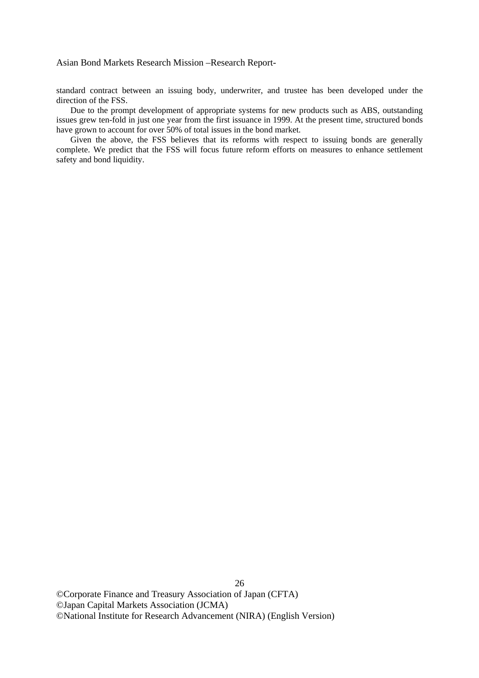standard contract between an issuing body, underwriter, and trustee has been developed under the direction of the FSS.

 Due to the prompt development of appropriate systems for new products such as ABS, outstanding issues grew ten-fold in just one year from the first issuance in 1999. At the present time, structured bonds have grown to account for over 50% of total issues in the bond market.

 Given the above, the FSS believes that its reforms with respect to issuing bonds are generally complete. We predict that the FSS will focus future reform efforts on measures to enhance settlement safety and bond liquidity.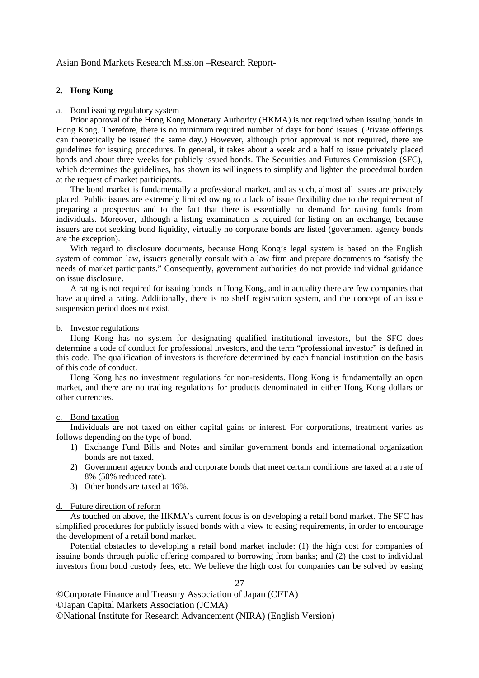#### **2. Hong Kong**

#### Bond issuing regulatory system

 Prior approval of the Hong Kong Monetary Authority (HKMA) is not required when issuing bonds in Hong Kong. Therefore, there is no minimum required number of days for bond issues. (Private offerings can theoretically be issued the same day.) However, although prior approval is not required, there are guidelines for issuing procedures. In general, it takes about a week and a half to issue privately placed bonds and about three weeks for publicly issued bonds. The Securities and Futures Commission (SFC), which determines the guidelines, has shown its willingness to simplify and lighten the procedural burden at the request of market participants.

 The bond market is fundamentally a professional market, and as such, almost all issues are privately placed. Public issues are extremely limited owing to a lack of issue flexibility due to the requirement of preparing a prospectus and to the fact that there is essentially no demand for raising funds from individuals. Moreover, although a listing examination is required for listing on an exchange, because issuers are not seeking bond liquidity, virtually no corporate bonds are listed (government agency bonds are the exception).

 With regard to disclosure documents, because Hong Kong's legal system is based on the English system of common law, issuers generally consult with a law firm and prepare documents to "satisfy the needs of market participants." Consequently, government authorities do not provide individual guidance on issue disclosure.

 A rating is not required for issuing bonds in Hong Kong, and in actuality there are few companies that have acquired a rating. Additionally, there is no shelf registration system, and the concept of an issue suspension period does not exist.

#### b. Investor regulations

 Hong Kong has no system for designating qualified institutional investors, but the SFC does determine a code of conduct for professional investors, and the term "professional investor" is defined in this code. The qualification of investors is therefore determined by each financial institution on the basis of this code of conduct.

 Hong Kong has no investment regulations for non-residents. Hong Kong is fundamentally an open market, and there are no trading regulations for products denominated in either Hong Kong dollars or other currencies.

#### c. Bond taxation

 Individuals are not taxed on either capital gains or interest. For corporations, treatment varies as follows depending on the type of bond.

- 1) Exchange Fund Bills and Notes and similar government bonds and international organization bonds are not taxed.
- 2) Government agency bonds and corporate bonds that meet certain conditions are taxed at a rate of 8% (50% reduced rate).
- 3) Other bonds are taxed at 16%.

#### d. Future direction of reform

 As touched on above, the HKMA's current focus is on developing a retail bond market. The SFC has simplified procedures for publicly issued bonds with a view to easing requirements, in order to encourage the development of a retail bond market.

 Potential obstacles to developing a retail bond market include: (1) the high cost for companies of issuing bonds through public offering compared to borrowing from banks; and (2) the cost to individual investors from bond custody fees, etc. We believe the high cost for companies can be solved by easing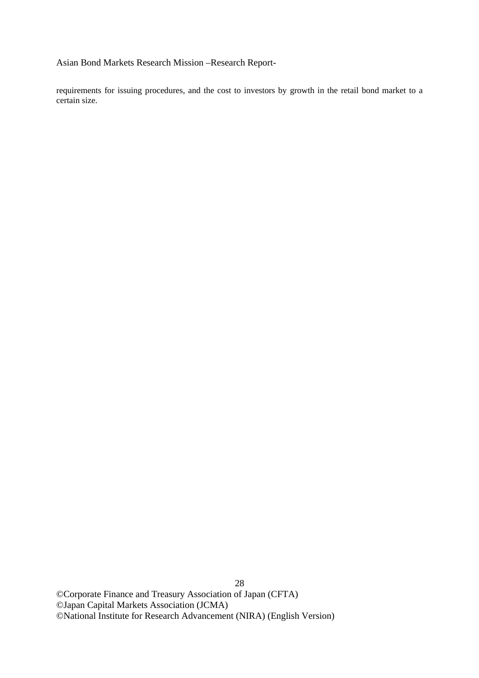requirements for issuing procedures, and the cost to investors by growth in the retail bond market to a certain size.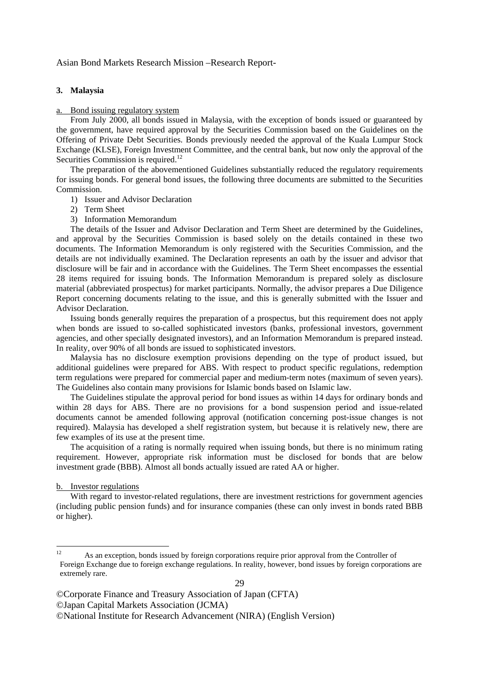#### **3. Malaysia**

#### a. Bond issuing regulatory system

 From July 2000, all bonds issued in Malaysia, with the exception of bonds issued or guaranteed by the government, have required approval by the Securities Commission based on the Guidelines on the Offering of Private Debt Securities. Bonds previously needed the approval of the Kuala Lumpur Stock Exchange (KLSE), Foreign Investment Committee, and the central bank, but now only the approval of the Securities Commission is required.<sup>12</sup>

 The preparation of the abovementioned Guidelines substantially reduced the regulatory requirements for issuing bonds. For general bond issues, the following three documents are submitted to the Securities Commission.

- 1) Issuer and Advisor Declaration
- 2) Term Sheet
- 3) Information Memorandum

 The details of the Issuer and Advisor Declaration and Term Sheet are determined by the Guidelines, and approval by the Securities Commission is based solely on the details contained in these two documents. The Information Memorandum is only registered with the Securities Commission, and the details are not individually examined. The Declaration represents an oath by the issuer and advisor that disclosure will be fair and in accordance with the Guidelines. The Term Sheet encompasses the essential 28 items required for issuing bonds. The Information Memorandum is prepared solely as disclosure material (abbreviated prospectus) for market participants. Normally, the advisor prepares a Due Diligence Report concerning documents relating to the issue, and this is generally submitted with the Issuer and Advisor Declaration.

 Issuing bonds generally requires the preparation of a prospectus, but this requirement does not apply when bonds are issued to so-called sophisticated investors (banks, professional investors, government agencies, and other specially designated investors), and an Information Memorandum is prepared instead. In reality, over 90% of all bonds are issued to sophisticated investors.

 Malaysia has no disclosure exemption provisions depending on the type of product issued, but additional guidelines were prepared for ABS. With respect to product specific regulations, redemption term regulations were prepared for commercial paper and medium-term notes (maximum of seven years). The Guidelines also contain many provisions for Islamic bonds based on Islamic law.

 The Guidelines stipulate the approval period for bond issues as within 14 days for ordinary bonds and within 28 days for ABS. There are no provisions for a bond suspension period and issue-related documents cannot be amended following approval (notification concerning post-issue changes is not required). Malaysia has developed a shelf registration system, but because it is relatively new, there are few examples of its use at the present time.

 The acquisition of a rating is normally required when issuing bonds, but there is no minimum rating requirement. However, appropriate risk information must be disclosed for bonds that are below investment grade (BBB). Almost all bonds actually issued are rated AA or higher.

#### b. Investor regulations

 With regard to investor-related regulations, there are investment restrictions for government agencies (including public pension funds) and for insurance companies (these can only invest in bonds rated BBB or higher).

 $12$ As an exception, bonds issued by foreign corporations require prior approval from the Controller of Foreign Exchange due to foreign exchange regulations. In reality, however, bond issues by foreign corporations are extremely rare.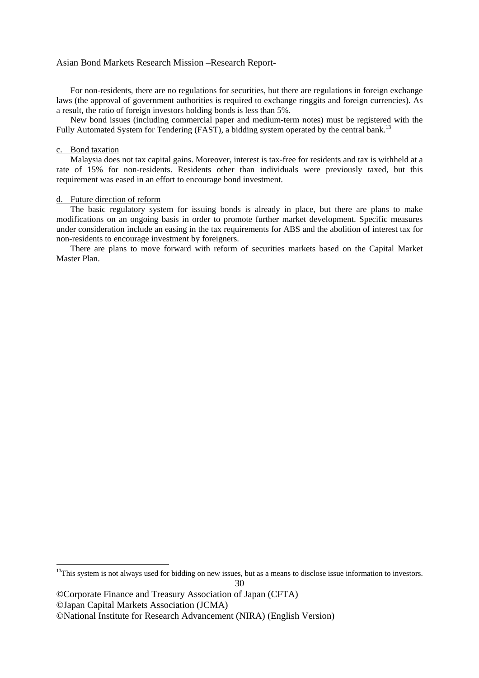For non-residents, there are no regulations for securities, but there are regulations in foreign exchange laws (the approval of government authorities is required to exchange ringgits and foreign currencies). As a result, the ratio of foreign investors holding bonds is less than 5%.

 New bond issues (including commercial paper and medium-term notes) must be registered with the Fully Automated System for Tendering (FAST), a bidding system operated by the central bank.<sup>13</sup>

#### c. Bond taxation

 $\overline{a}$ 

 Malaysia does not tax capital gains. Moreover, interest is tax-free for residents and tax is withheld at a rate of 15% for non-residents. Residents other than individuals were previously taxed, but this requirement was eased in an effort to encourage bond investment.

## d. Future direction of reform

 The basic regulatory system for issuing bonds is already in place, but there are plans to make modifications on an ongoing basis in order to promote further market development. Specific measures under consideration include an easing in the tax requirements for ABS and the abolition of interest tax for non-residents to encourage investment by foreigners.

 There are plans to move forward with reform of securities markets based on the Capital Market Master Plan.

 $13$ This system is not always used for bidding on new issues, but as a means to disclose issue information to investors.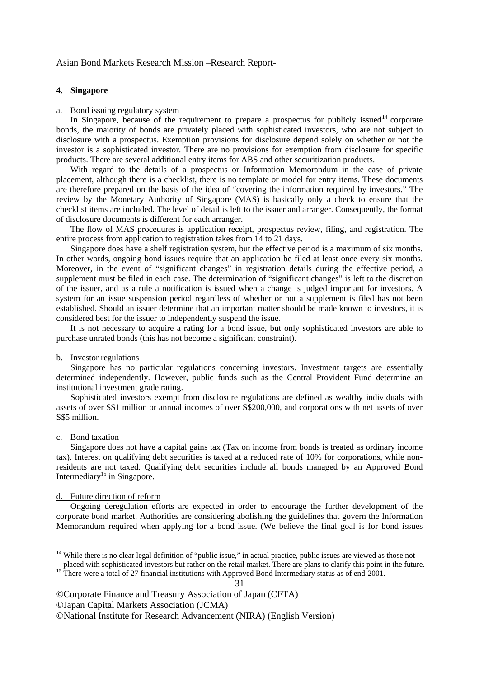#### **4. Singapore**

#### a. Bond issuing regulatory system

In Singapore, because of the requirement to prepare a prospectus for publicly issued<sup>14</sup> corporate bonds, the majority of bonds are privately placed with sophisticated investors, who are not subject to disclosure with a prospectus. Exemption provisions for disclosure depend solely on whether or not the investor is a sophisticated investor. There are no provisions for exemption from disclosure for specific products. There are several additional entry items for ABS and other securitization products.

 With regard to the details of a prospectus or Information Memorandum in the case of private placement, although there is a checklist, there is no template or model for entry items. These documents are therefore prepared on the basis of the idea of "covering the information required by investors." The review by the Monetary Authority of Singapore (MAS) is basically only a check to ensure that the checklist items are included. The level of detail is left to the issuer and arranger. Consequently, the format of disclosure documents is different for each arranger.

 The flow of MAS procedures is application receipt, prospectus review, filing, and registration. The entire process from application to registration takes from 14 to 21 days.

 Singapore does have a shelf registration system, but the effective period is a maximum of six months. In other words, ongoing bond issues require that an application be filed at least once every six months. Moreover, in the event of "significant changes" in registration details during the effective period, a supplement must be filed in each case. The determination of "significant changes" is left to the discretion of the issuer, and as a rule a notification is issued when a change is judged important for investors. A system for an issue suspension period regardless of whether or not a supplement is filed has not been established. Should an issuer determine that an important matter should be made known to investors, it is considered best for the issuer to independently suspend the issue.

 It is not necessary to acquire a rating for a bond issue, but only sophisticated investors are able to purchase unrated bonds (this has not become a significant constraint).

#### b. Investor regulations

 Singapore has no particular regulations concerning investors. Investment targets are essentially determined independently. However, public funds such as the Central Provident Fund determine an institutional investment grade rating.

 Sophisticated investors exempt from disclosure regulations are defined as wealthy individuals with assets of over S\$1 million or annual incomes of over S\$200,000, and corporations with net assets of over S\$5 million.

#### c. Bond taxation

-

 Singapore does not have a capital gains tax (Tax on income from bonds is treated as ordinary income tax). Interest on qualifying debt securities is taxed at a reduced rate of 10% for corporations, while nonresidents are not taxed. Qualifying debt securities include all bonds managed by an Approved Bond Intermediary<sup>15</sup> in Singapore.

#### d. Future direction of reform

 Ongoing deregulation efforts are expected in order to encourage the further development of the corporate bond market. Authorities are considering abolishing the guidelines that govern the Information Memorandum required when applying for a bond issue. (We believe the final goal is for bond issues

©National Institute for Research Advancement (NIRA) (English Version)

<sup>&</sup>lt;sup>14</sup> While there is no clear legal definition of "public issue," in actual practice, public issues are viewed as those not placed with sophisticated investors but rather on the retail market. There are plans to clarify this point in the future.<br><sup>15</sup> There were a total of 27 financial institutions with Approved Bond Intermediary status as of en

<sup>©</sup>Corporate Finance and Treasury Association of Japan (CFTA) ©Japan Capital Markets Association (JCMA)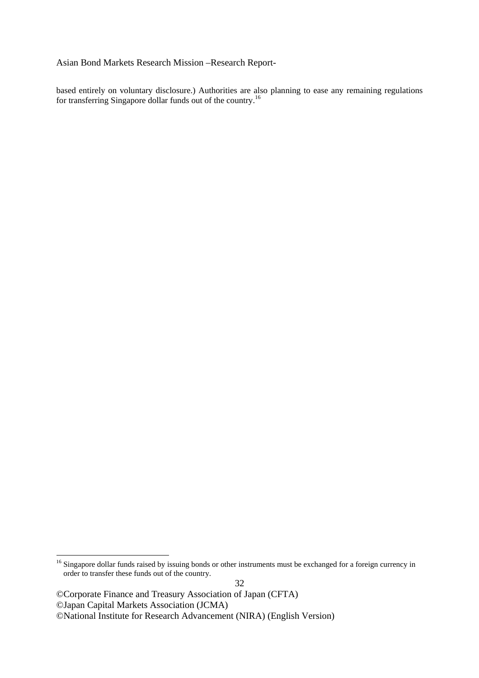based entirely on voluntary disclosure.) Authorities are also planning to ease any remaining regulations for transferring Singapore dollar funds out of the country.<sup>16</sup>

©Corporate Finance and Treasury Association of Japan (CFTA) ©Japan Capital Markets Association (JCMA) ©National Institute for Research Advancement (NIRA) (English Version)

1

<sup>&</sup>lt;sup>16</sup> Singapore dollar funds raised by issuing bonds or other instruments must be exchanged for a foreign currency in order to transfer these funds out of the country.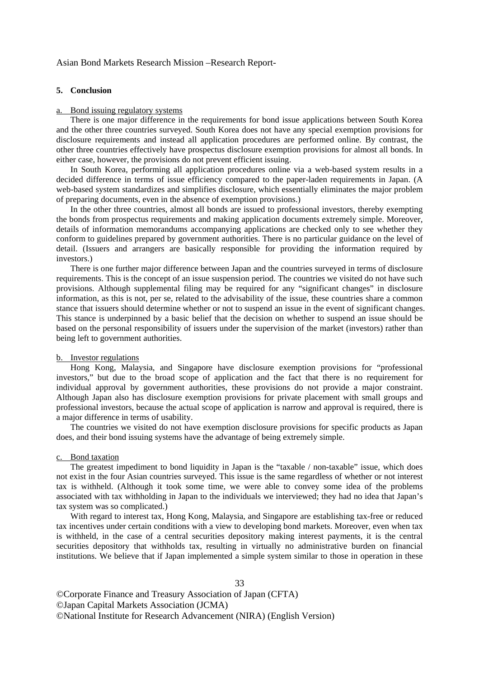#### **5. Conclusion**

#### a. Bond issuing regulatory systems

 There is one major difference in the requirements for bond issue applications between South Korea and the other three countries surveyed. South Korea does not have any special exemption provisions for disclosure requirements and instead all application procedures are performed online. By contrast, the other three countries effectively have prospectus disclosure exemption provisions for almost all bonds. In either case, however, the provisions do not prevent efficient issuing.

 In South Korea, performing all application procedures online via a web-based system results in a decided difference in terms of issue efficiency compared to the paper-laden requirements in Japan. (A web-based system standardizes and simplifies disclosure, which essentially eliminates the major problem of preparing documents, even in the absence of exemption provisions.)

 In the other three countries, almost all bonds are issued to professional investors, thereby exempting the bonds from prospectus requirements and making application documents extremely simple. Moreover, details of information memorandums accompanying applications are checked only to see whether they conform to guidelines prepared by government authorities. There is no particular guidance on the level of detail. (Issuers and arrangers are basically responsible for providing the information required by investors.)

 There is one further major difference between Japan and the countries surveyed in terms of disclosure requirements. This is the concept of an issue suspension period. The countries we visited do not have such provisions. Although supplemental filing may be required for any "significant changes" in disclosure information, as this is not, per se, related to the advisability of the issue, these countries share a common stance that issuers should determine whether or not to suspend an issue in the event of significant changes. This stance is underpinned by a basic belief that the decision on whether to suspend an issue should be based on the personal responsibility of issuers under the supervision of the market (investors) rather than being left to government authorities.

## b. Investor regulations

 Hong Kong, Malaysia, and Singapore have disclosure exemption provisions for "professional investors," but due to the broad scope of application and the fact that there is no requirement for individual approval by government authorities, these provisions do not provide a major constraint. Although Japan also has disclosure exemption provisions for private placement with small groups and professional investors, because the actual scope of application is narrow and approval is required, there is a major difference in terms of usability.

 The countries we visited do not have exemption disclosure provisions for specific products as Japan does, and their bond issuing systems have the advantage of being extremely simple.

#### c. Bond taxation

The greatest impediment to bond liquidity in Japan is the "taxable / non-taxable" issue, which does not exist in the four Asian countries surveyed. This issue is the same regardless of whether or not interest tax is withheld. (Although it took some time, we were able to convey some idea of the problems associated with tax withholding in Japan to the individuals we interviewed; they had no idea that Japan's tax system was so complicated.)

 With regard to interest tax, Hong Kong, Malaysia, and Singapore are establishing tax-free or reduced tax incentives under certain conditions with a view to developing bond markets. Moreover, even when tax is withheld, in the case of a central securities depository making interest payments, it is the central securities depository that withholds tax, resulting in virtually no administrative burden on financial institutions. We believe that if Japan implemented a simple system similar to those in operation in these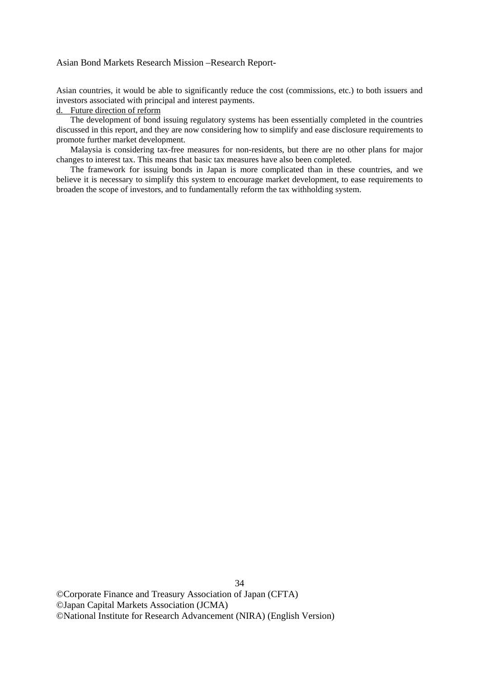Asian countries, it would be able to significantly reduce the cost (commissions, etc.) to both issuers and investors associated with principal and interest payments.

## d. Future direction of reform

 The development of bond issuing regulatory systems has been essentially completed in the countries discussed in this report, and they are now considering how to simplify and ease disclosure requirements to promote further market development.

 Malaysia is considering tax-free measures for non-residents, but there are no other plans for major changes to interest tax. This means that basic tax measures have also been completed.

 The framework for issuing bonds in Japan is more complicated than in these countries, and we believe it is necessary to simplify this system to encourage market development, to ease requirements to broaden the scope of investors, and to fundamentally reform the tax withholding system.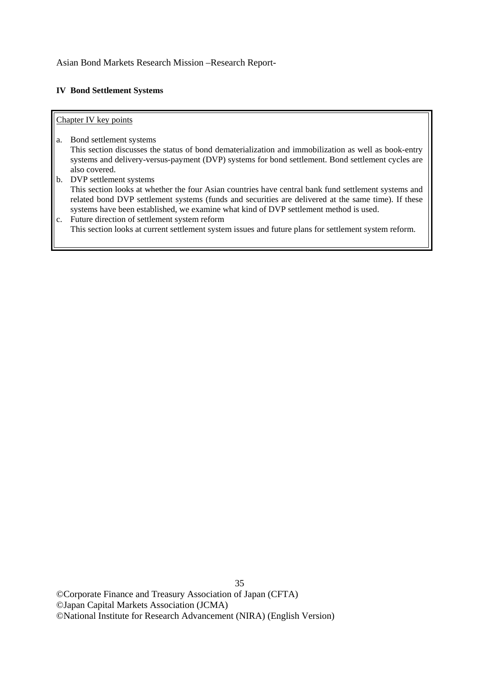## **IV Bond Settlement Systems**

## Chapter IV key points

- a. Bond settlement systems This section discusses the status of bond dematerialization and immobilization as well as book-entry systems and delivery-versus-payment (DVP) systems for bond settlement. Bond settlement cycles are also covered.
- b. DVP settlement systems This section looks at whether the four Asian countries have central bank fund settlement systems and related bond DVP settlement systems (funds and securities are delivered at the same time). If these systems have been established, we examine what kind of DVP settlement method is used.
- c. Future direction of settlement system reform This section looks at current settlement system issues and future plans for settlement system reform.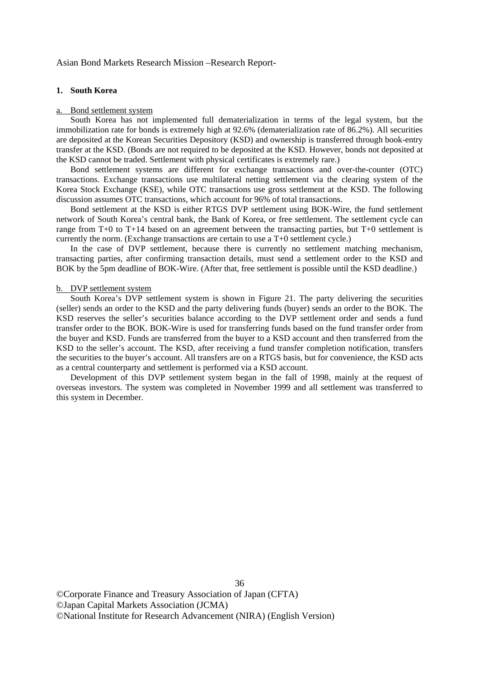#### **1. South Korea**

#### a. Bond settlement system

 South Korea has not implemented full dematerialization in terms of the legal system, but the immobilization rate for bonds is extremely high at 92.6% (dematerialization rate of 86.2%). All securities are deposited at the Korean Securities Depository (KSD) and ownership is transferred through book-entry transfer at the KSD. (Bonds are not required to be deposited at the KSD. However, bonds not deposited at the KSD cannot be traded. Settlement with physical certificates is extremely rare.)

 Bond settlement systems are different for exchange transactions and over-the-counter (OTC) transactions. Exchange transactions use multilateral netting settlement via the clearing system of the Korea Stock Exchange (KSE), while OTC transactions use gross settlement at the KSD. The following discussion assumes OTC transactions, which account for 96% of total transactions.

 Bond settlement at the KSD is either RTGS DVP settlement using BOK-Wire, the fund settlement network of South Korea's central bank, the Bank of Korea, or free settlement. The settlement cycle can range from T+0 to T+14 based on an agreement between the transacting parties, but T+0 settlement is currently the norm. (Exchange transactions are certain to use a T+0 settlement cycle.)

 In the case of DVP settlement, because there is currently no settlement matching mechanism, transacting parties, after confirming transaction details, must send a settlement order to the KSD and BOK by the 5pm deadline of BOK-Wire. (After that, free settlement is possible until the KSD deadline.)

#### b. DVP settlement system

 South Korea's DVP settlement system is shown in Figure 21. The party delivering the securities (seller) sends an order to the KSD and the party delivering funds (buyer) sends an order to the BOK. The KSD reserves the seller's securities balance according to the DVP settlement order and sends a fund transfer order to the BOK. BOK-Wire is used for transferring funds based on the fund transfer order from the buyer and KSD. Funds are transferred from the buyer to a KSD account and then transferred from the KSD to the seller's account. The KSD, after receiving a fund transfer completion notification, transfers the securities to the buyer's account. All transfers are on a RTGS basis, but for convenience, the KSD acts as a central counterparty and settlement is performed via a KSD account.

 Development of this DVP settlement system began in the fall of 1998, mainly at the request of overseas investors. The system was completed in November 1999 and all settlement was transferred to this system in December.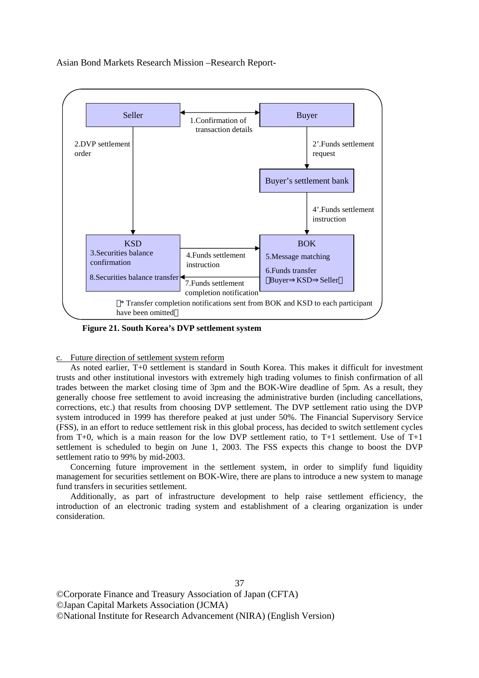

**Figure 21. South Korea's DVP settlement system** 

c. Future direction of settlement system reform

 As noted earlier, T+0 settlement is standard in South Korea. This makes it difficult for investment trusts and other institutional investors with extremely high trading volumes to finish confirmation of all trades between the market closing time of 3pm and the BOK-Wire deadline of 5pm. As a result, they generally choose free settlement to avoid increasing the administrative burden (including cancellations, corrections, etc.) that results from choosing DVP settlement. The DVP settlement ratio using the DVP system introduced in 1999 has therefore peaked at just under 50%. The Financial Supervisory Service (FSS), in an effort to reduce settlement risk in this global process, has decided to switch settlement cycles from T+0, which is a main reason for the low DVP settlement ratio, to T+1 settlement. Use of T+1 settlement is scheduled to begin on June 1, 2003. The FSS expects this change to boost the DVP settlement ratio to 99% by mid-2003.

 Concerning future improvement in the settlement system, in order to simplify fund liquidity management for securities settlement on BOK-Wire, there are plans to introduce a new system to manage fund transfers in securities settlement.

 Additionally, as part of infrastructure development to help raise settlement efficiency, the introduction of an electronic trading system and establishment of a clearing organization is under consideration.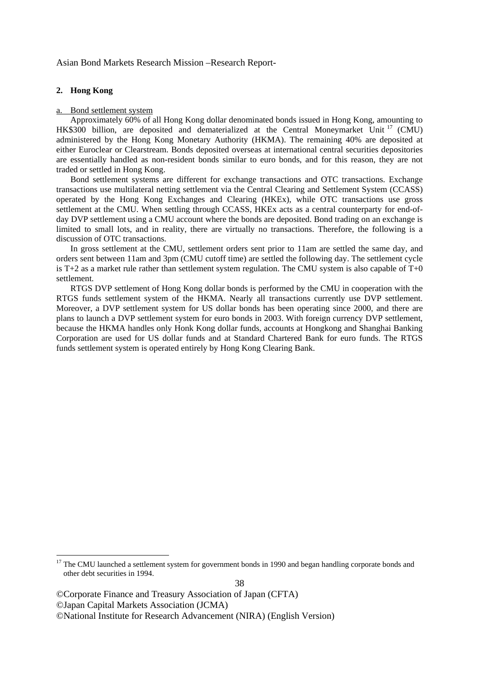#### **2. Hong Kong**

1

#### a. Bond settlement system

 Approximately 60% of all Hong Kong dollar denominated bonds issued in Hong Kong, amounting to HK\$300 billion, are deposited and dematerialized at the Central Moneymarket Unit <sup>17</sup> (CMU) administered by the Hong Kong Monetary Authority (HKMA). The remaining 40% are deposited at either Euroclear or Clearstream. Bonds deposited overseas at international central securities depositories are essentially handled as non-resident bonds similar to euro bonds, and for this reason, they are not traded or settled in Hong Kong.

 Bond settlement systems are different for exchange transactions and OTC transactions. Exchange transactions use multilateral netting settlement via the Central Clearing and Settlement System (CCASS) operated by the Hong Kong Exchanges and Clearing (HKEx), while OTC transactions use gross settlement at the CMU. When settling through CCASS, HKEx acts as a central counterparty for end-ofday DVP settlement using a CMU account where the bonds are deposited. Bond trading on an exchange is limited to small lots, and in reality, there are virtually no transactions. Therefore, the following is a discussion of OTC transactions.

 In gross settlement at the CMU, settlement orders sent prior to 11am are settled the same day, and orders sent between 11am and 3pm (CMU cutoff time) are settled the following day. The settlement cycle is T+2 as a market rule rather than settlement system regulation. The CMU system is also capable of  $T+0$ settlement.

 RTGS DVP settlement of Hong Kong dollar bonds is performed by the CMU in cooperation with the RTGS funds settlement system of the HKMA. Nearly all transactions currently use DVP settlement. Moreover, a DVP settlement system for US dollar bonds has been operating since 2000, and there are plans to launch a DVP settlement system for euro bonds in 2003. With foreign currency DVP settlement, because the HKMA handles only Honk Kong dollar funds, accounts at Hongkong and Shanghai Banking Corporation are used for US dollar funds and at Standard Chartered Bank for euro funds. The RTGS funds settlement system is operated entirely by Hong Kong Clearing Bank.

<sup>&</sup>lt;sup>17</sup> The CMU launched a settlement system for government bonds in 1990 and began handling corporate bonds and other debt securities in 1994.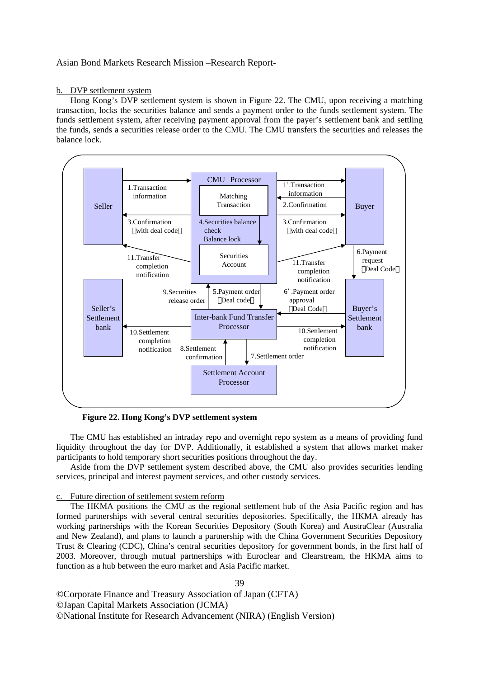#### b. DVP settlement system

 Hong Kong's DVP settlement system is shown in Figure 22. The CMU, upon receiving a matching transaction, locks the securities balance and sends a payment order to the funds settlement system. The funds settlement system, after receiving payment approval from the payer's settlement bank and settling the funds, sends a securities release order to the CMU. The CMU transfers the securities and releases the balance lock.



**Figure 22. Hong Kong's DVP settlement system** 

 The CMU has established an intraday repo and overnight repo system as a means of providing fund liquidity throughout the day for DVP. Additionally, it established a system that allows market maker participants to hold temporary short securities positions throughout the day.

 Aside from the DVP settlement system described above, the CMU also provides securities lending services, principal and interest payment services, and other custody services.

#### c. Future direction of settlement system reform

 The HKMA positions the CMU as the regional settlement hub of the Asia Pacific region and has formed partnerships with several central securities depositories. Specifically, the HKMA already has working partnerships with the Korean Securities Depository (South Korea) and AustraClear (Australia and New Zealand), and plans to launch a partnership with the China Government Securities Depository Trust & Clearing (CDC), China's central securities depository for government bonds, in the first half of 2003. Moreover, through mutual partnerships with Euroclear and Clearstream, the HKMA aims to function as a hub between the euro market and Asia Pacific market.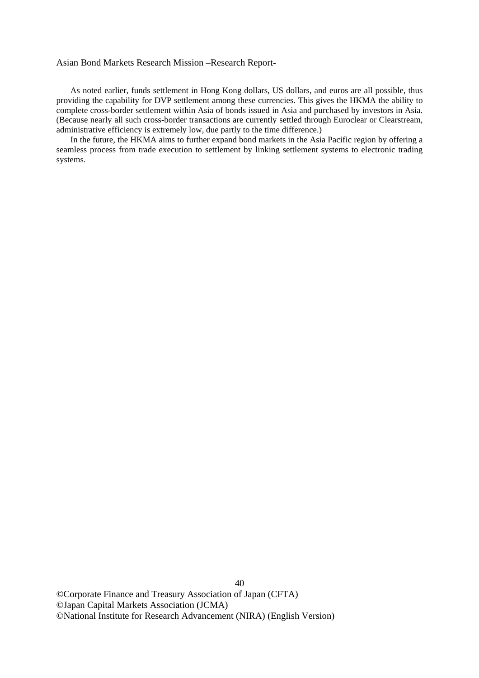As noted earlier, funds settlement in Hong Kong dollars, US dollars, and euros are all possible, thus providing the capability for DVP settlement among these currencies. This gives the HKMA the ability to complete cross-border settlement within Asia of bonds issued in Asia and purchased by investors in Asia. (Because nearly all such cross-border transactions are currently settled through Euroclear or Clearstream, administrative efficiency is extremely low, due partly to the time difference.)

 In the future, the HKMA aims to further expand bond markets in the Asia Pacific region by offering a seamless process from trade execution to settlement by linking settlement systems to electronic trading systems.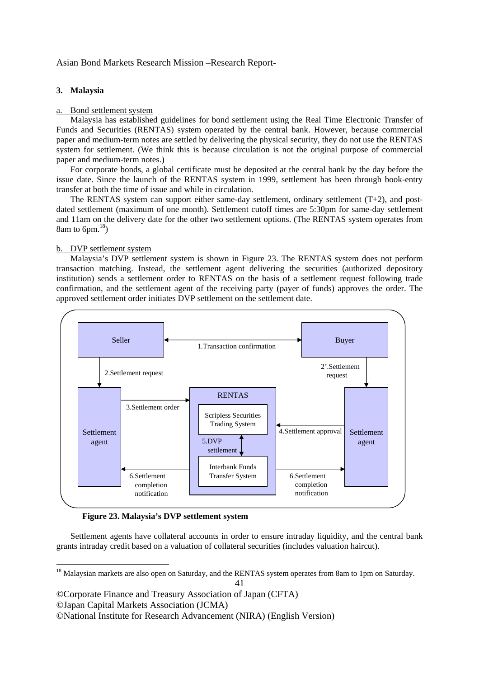#### **3. Malaysia**

#### Bond settlement system

 Malaysia has established guidelines for bond settlement using the Real Time Electronic Transfer of Funds and Securities (RENTAS) system operated by the central bank. However, because commercial paper and medium-term notes are settled by delivering the physical security, they do not use the RENTAS system for settlement. (We think this is because circulation is not the original purpose of commercial paper and medium-term notes.)

 For corporate bonds, a global certificate must be deposited at the central bank by the day before the issue date. Since the launch of the RENTAS system in 1999, settlement has been through book-entry transfer at both the time of issue and while in circulation.

The RENTAS system can support either same-day settlement, ordinary settlement  $(T+2)$ , and postdated settlement (maximum of one month). Settlement cutoff times are 5:30pm for same-day settlement and 11am on the delivery date for the other two settlement options. (The RENTAS system operates from 8am to 6pm. $^{18}$ )

#### b. DVP settlement system

 Malaysia's DVP settlement system is shown in Figure 23. The RENTAS system does not perform transaction matching. Instead, the settlement agent delivering the securities (authorized depository institution) sends a settlement order to RENTAS on the basis of a settlement request following trade confirmation, and the settlement agent of the receiving party (payer of funds) approves the order. The approved settlement order initiates DVP settlement on the settlement date.



**Figure 23. Malaysia's DVP settlement system** 

 Settlement agents have collateral accounts in order to ensure intraday liquidity, and the central bank grants intraday credit based on a valuation of collateral securities (includes valuation haircut).

©Japan Capital Markets Association (JCMA)

 $\overline{a}$ 

<sup>&</sup>lt;sup>18</sup> Malaysian markets are also open on Saturday, and the RENTAS system operates from 8am to 1pm on Saturday.

<sup>©</sup>Corporate Finance and Treasury Association of Japan (CFTA)

<sup>©</sup>National Institute for Research Advancement (NIRA) (English Version)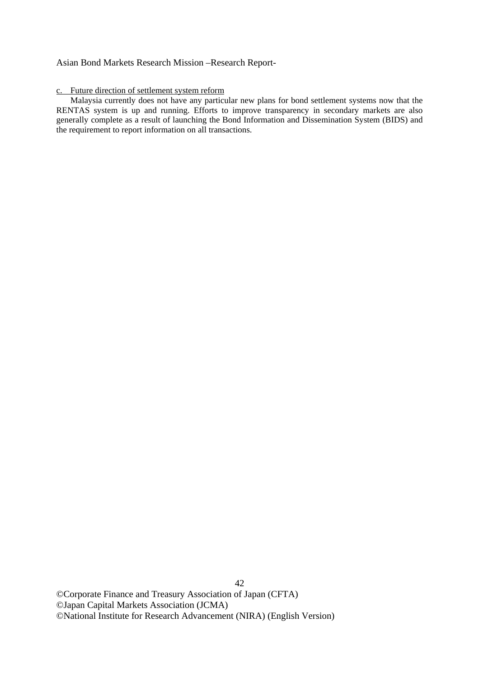## c. Future direction of settlement system reform

 Malaysia currently does not have any particular new plans for bond settlement systems now that the RENTAS system is up and running. Efforts to improve transparency in secondary markets are also generally complete as a result of launching the Bond Information and Dissemination System (BIDS) and the requirement to report information on all transactions.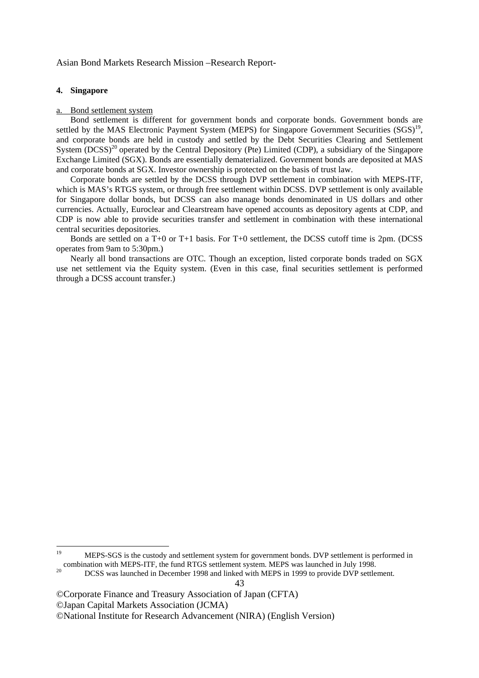#### **4. Singapore**

#### Bond settlement system

 Bond settlement is different for government bonds and corporate bonds. Government bonds are settled by the MAS Electronic Payment System (MEPS) for Singapore Government Securities (SGS)<sup>19</sup>, and corporate bonds are held in custody and settled by the Debt Securities Clearing and Settlement System (DCSS)<sup>20</sup> operated by the Central Depository (Pte) Limited (CDP), a subsidiary of the Singapore Exchange Limited (SGX). Bonds are essentially dematerialized. Government bonds are deposited at MAS and corporate bonds at SGX. Investor ownership is protected on the basis of trust law.

 Corporate bonds are settled by the DCSS through DVP settlement in combination with MEPS-ITF, which is MAS's RTGS system, or through free settlement within DCSS. DVP settlement is only available for Singapore dollar bonds, but DCSS can also manage bonds denominated in US dollars and other currencies. Actually, Euroclear and Clearstream have opened accounts as depository agents at CDP, and CDP is now able to provide securities transfer and settlement in combination with these international central securities depositories.

 Bonds are settled on a T+0 or T+1 basis. For T+0 settlement, the DCSS cutoff time is 2pm. (DCSS operates from 9am to 5:30pm.)

 Nearly all bond transactions are OTC. Though an exception, listed corporate bonds traded on SGX use net settlement via the Equity system. (Even in this case, final securities settlement is performed through a DCSS account transfer.)

 $19$ MEPS-SGS is the custody and settlement system for government bonds. DVP settlement is performed in combination with MEPS-ITF, the fund RTGS settlement system. MEPS was launched in July 1998.<br><sup>20</sup> DCSS was launched in December 1998 and linked with MEPS in 1999 to provide DVP settlement.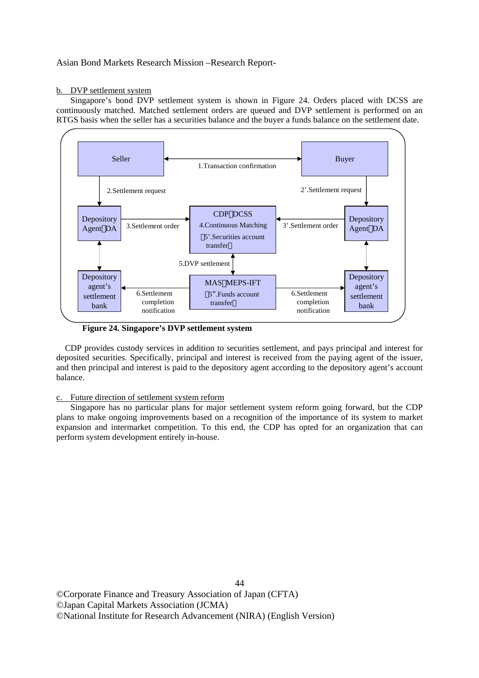#### b. DVP settlement system

 Singapore's bond DVP settlement system is shown in Figure 24. Orders placed with DCSS are continuously matched. Matched settlement orders are queued and DVP settlement is performed on an RTGS basis when the seller has a securities balance and the buyer a funds balance on the settlement date.



**Figure 24. Singapore's DVP settlement system** 

CDP provides custody services in addition to securities settlement, and pays principal and interest for deposited securities. Specifically, principal and interest is received from the paying agent of the issuer, and then principal and interest is paid to the depository agent according to the depository agent's account balance.

## c. Future direction of settlement system reform

 Singapore has no particular plans for major settlement system reform going forward, but the CDP plans to make ongoing improvements based on a recognition of the importance of its system to market expansion and intermarket competition. To this end, the CDP has opted for an organization that can perform system development entirely in-house.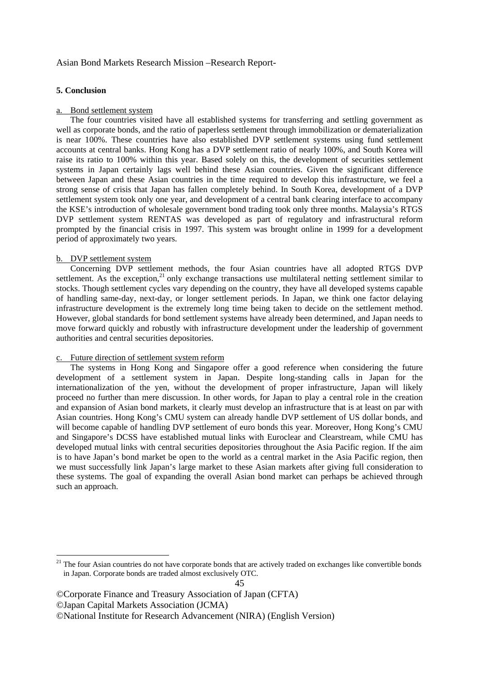#### **5. Conclusion**

#### a. Bond settlement system

 The four countries visited have all established systems for transferring and settling government as well as corporate bonds, and the ratio of paperless settlement through immobilization or dematerialization is near 100%. These countries have also established DVP settlement systems using fund settlement accounts at central banks. Hong Kong has a DVP settlement ratio of nearly 100%, and South Korea will raise its ratio to 100% within this year. Based solely on this, the development of securities settlement systems in Japan certainly lags well behind these Asian countries. Given the significant difference between Japan and these Asian countries in the time required to develop this infrastructure, we feel a strong sense of crisis that Japan has fallen completely behind. In South Korea, development of a DVP settlement system took only one year, and development of a central bank clearing interface to accompany the KSE's introduction of wholesale government bond trading took only three months. Malaysia's RTGS DVP settlement system RENTAS was developed as part of regulatory and infrastructural reform prompted by the financial crisis in 1997. This system was brought online in 1999 for a development period of approximately two years.

## b. DVP settlement system

1

 Concerning DVP settlement methods, the four Asian countries have all adopted RTGS DVP settlement. As the exception, $^{21}$  only exchange transactions use multilateral netting settlement similar to stocks. Though settlement cycles vary depending on the country, they have all developed systems capable of handling same-day, next-day, or longer settlement periods. In Japan, we think one factor delaying infrastructure development is the extremely long time being taken to decide on the settlement method. However, global standards for bond settlement systems have already been determined, and Japan needs to move forward quickly and robustly with infrastructure development under the leadership of government authorities and central securities depositories.

#### c. Future direction of settlement system reform

 The systems in Hong Kong and Singapore offer a good reference when considering the future development of a settlement system in Japan. Despite long-standing calls in Japan for the internationalization of the yen, without the development of proper infrastructure, Japan will likely proceed no further than mere discussion. In other words, for Japan to play a central role in the creation and expansion of Asian bond markets, it clearly must develop an infrastructure that is at least on par with Asian countries. Hong Kong's CMU system can already handle DVP settlement of US dollar bonds, and will become capable of handling DVP settlement of euro bonds this year. Moreover, Hong Kong's CMU and Singapore's DCSS have established mutual links with Euroclear and Clearstream, while CMU has developed mutual links with central securities depositories throughout the Asia Pacific region. If the aim is to have Japan's bond market be open to the world as a central market in the Asia Pacific region, then we must successfully link Japan's large market to these Asian markets after giving full consideration to these systems. The goal of expanding the overall Asian bond market can perhaps be achieved through such an approach.

<sup>&</sup>lt;sup>21</sup> The four Asian countries do not have corporate bonds that are actively traded on exchanges like convertible bonds in Japan. Corporate bonds are traded almost exclusively OTC.

<sup>©</sup>Corporate Finance and Treasury Association of Japan (CFTA) ©Japan Capital Markets Association (JCMA) ©National Institute for Research Advancement (NIRA) (English Version)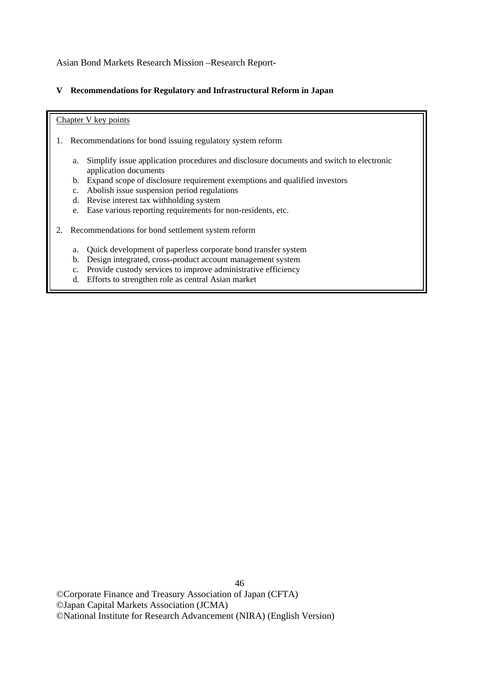## **V Recommendations for Regulatory and Infrastructural Reform in Japan**

## Chapter V key points

- 1. Recommendations for bond issuing regulatory system reform
	- a. Simplify issue application procedures and disclosure documents and switch to electronic application documents
	- b. Expand scope of disclosure requirement exemptions and qualified investors
	- c. Abolish issue suspension period regulations
	- d. Revise interest tax withholding system
	- e. Ease various reporting requirements for non-residents, etc.
- 2. Recommendations for bond settlement system reform
	- a. Quick development of paperless corporate bond transfer system
	- b. Design integrated, cross-product account management system
	- c. Provide custody services to improve administrative efficiency
	- d. Efforts to strengthen role as central Asian market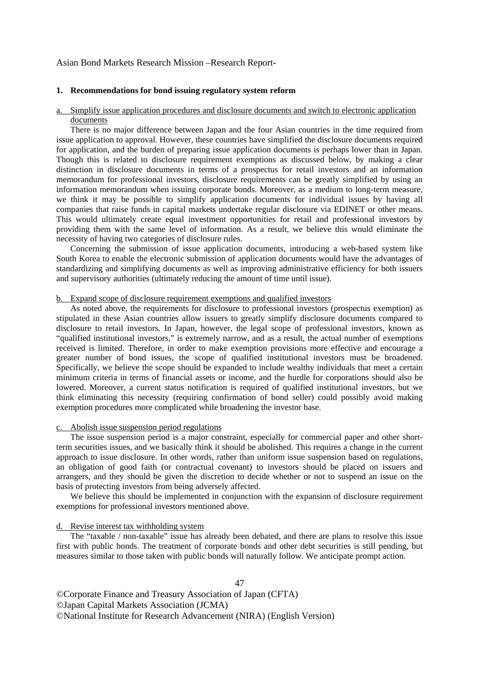#### **1. Recommendations for bond issuing regulatory system reform**

## a. Simplify issue application procedures and disclosure documents and switch to electronic application documents

 There is no major difference between Japan and the four Asian countries in the time required from issue application to approval. However, these countries have simplified the disclosure documents required for application, and the burden of preparing issue application documents is perhaps lower than in Japan. Though this is related to disclosure requirement exemptions as discussed below, by making a clear distinction in disclosure documents in terms of a prospectus for retail investors and an information memorandum for professional investors, disclosure requirements can be greatly simplified by using an information memorandum when issuing corporate bonds. Moreover, as a medium to long-term measure, we think it may be possible to simplify application documents for individual issues by having all companies that raise funds in capital markets undertake regular disclosure via EDINET or other means. This would ultimately create equal investment opportunities for retail and professional investors by providing them with the same level of information. As a result, we believe this would eliminate the necessity of having two categories of disclosure rules.

 Concerning the submission of issue application documents, introducing a web-based system like South Korea to enable the electronic submission of application documents would have the advantages of standardizing and simplifying documents as well as improving administrative efficiency for both issuers and supervisory authorities (ultimately reducing the amount of time until issue).

#### b. Expand scope of disclosure requirement exemptions and qualified investors

 As noted above, the requirements for disclosure to professional investors (prospectus exemption) as stipulated in these Asian countries allow issuers to greatly simplify disclosure documents compared to disclosure to retail investors. In Japan, however, the legal scope of professional investors, known as "qualified institutional investors," is extremely narrow, and as a result, the actual number of exemptions received is limited. Therefore, in order to make exemption provisions more effective and encourage a greater number of bond issues, the scope of qualified institutional investors must be broadened. Specifically, we believe the scope should be expanded to include wealthy individuals that meet a certain minimum criteria in terms of financial assets or income, and the hurdle for corporations should also be lowered. Moreover, a current status notification is required of qualified institutional investors, but we think eliminating this necessity (requiring confirmation of bond seller) could possibly avoid making exemption procedures more complicated while broadening the investor base.

## c. Abolish issue suspension period regulations

 The issue suspension period is a major constraint, especially for commercial paper and other shortterm securities issues, and we basically think it should be abolished. This requires a change in the current approach to issue disclosure. In other words, rather than uniform issue suspension based on regulations, an obligation of good faith (or contractual covenant) to investors should be placed on issuers and arrangers, and they should be given the discretion to decide whether or not to suspend an issue on the basis of protecting investors from being adversely affected.

 We believe this should be implemented in conjunction with the expansion of disclosure requirement exemptions for professional investors mentioned above.

#### d. Revise interest tax withholding system

 The "taxable / non-taxable" issue has already been debated, and there are plans to resolve this issue first with public bonds. The treatment of corporate bonds and other debt securities is still pending, but measures similar to those taken with public bonds will naturally follow. We anticipate prompt action.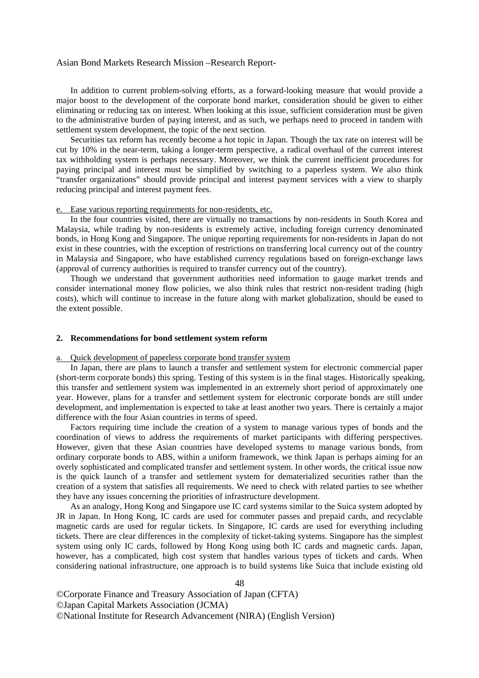In addition to current problem-solving efforts, as a forward-looking measure that would provide a major boost to the development of the corporate bond market, consideration should be given to either eliminating or reducing tax on interest. When looking at this issue, sufficient consideration must be given to the administrative burden of paying interest, and as such, we perhaps need to proceed in tandem with settlement system development, the topic of the next section.

 Securities tax reform has recently become a hot topic in Japan. Though the tax rate on interest will be cut by 10% in the near-term, taking a longer-term perspective, a radical overhaul of the current interest tax withholding system is perhaps necessary. Moreover, we think the current inefficient procedures for paying principal and interest must be simplified by switching to a paperless system. We also think "transfer organizations" should provide principal and interest payment services with a view to sharply reducing principal and interest payment fees.

#### e. Ease various reporting requirements for non-residents, etc.

 In the four countries visited, there are virtually no transactions by non-residents in South Korea and Malaysia, while trading by non-residents is extremely active, including foreign currency denominated bonds, in Hong Kong and Singapore. The unique reporting requirements for non-residents in Japan do not exist in these countries, with the exception of restrictions on transferring local currency out of the country in Malaysia and Singapore, who have established currency regulations based on foreign-exchange laws (approval of currency authorities is required to transfer currency out of the country).

 Though we understand that government authorities need information to gauge market trends and consider international money flow policies, we also think rules that restrict non-resident trading (high costs), which will continue to increase in the future along with market globalization, should be eased to the extent possible.

#### **2. Recommendations for bond settlement system reform**

#### a. Quick development of paperless corporate bond transfer system

 In Japan, there are plans to launch a transfer and settlement system for electronic commercial paper (short-term corporate bonds) this spring. Testing of this system is in the final stages. Historically speaking, this transfer and settlement system was implemented in an extremely short period of approximately one year. However, plans for a transfer and settlement system for electronic corporate bonds are still under development, and implementation is expected to take at least another two years. There is certainly a major difference with the four Asian countries in terms of speed.

 Factors requiring time include the creation of a system to manage various types of bonds and the coordination of views to address the requirements of market participants with differing perspectives. However, given that these Asian countries have developed systems to manage various bonds, from ordinary corporate bonds to ABS, within a uniform framework, we think Japan is perhaps aiming for an overly sophisticated and complicated transfer and settlement system. In other words, the critical issue now is the quick launch of a transfer and settlement system for dematerialized securities rather than the creation of a system that satisfies all requirements. We need to check with related parties to see whether they have any issues concerning the priorities of infrastructure development.

 As an analogy, Hong Kong and Singapore use IC card systems similar to the Suica system adopted by JR in Japan. In Hong Kong, IC cards are used for commuter passes and prepaid cards, and recyclable magnetic cards are used for regular tickets. In Singapore, IC cards are used for everything including tickets. There are clear differences in the complexity of ticket-taking systems. Singapore has the simplest system using only IC cards, followed by Hong Kong using both IC cards and magnetic cards. Japan, however, has a complicated, high cost system that handles various types of tickets and cards. When considering national infrastructure, one approach is to build systems like Suica that include existing old

48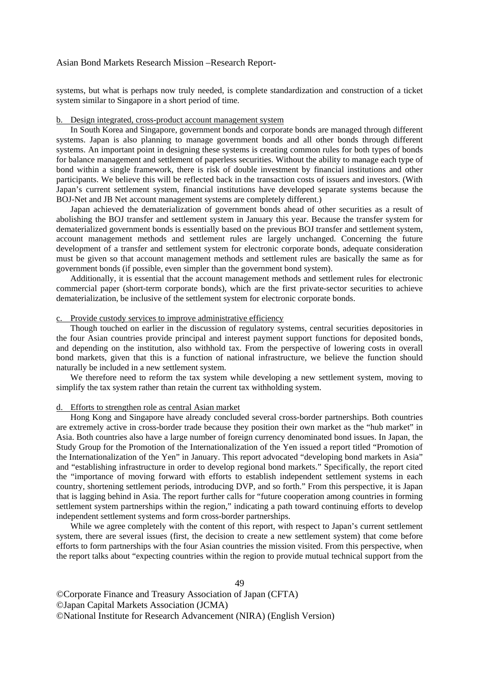systems, but what is perhaps now truly needed, is complete standardization and construction of a ticket system similar to Singapore in a short period of time.

## b. Design integrated, cross-product account management system

 In South Korea and Singapore, government bonds and corporate bonds are managed through different systems. Japan is also planning to manage government bonds and all other bonds through different systems. An important point in designing these systems is creating common rules for both types of bonds for balance management and settlement of paperless securities. Without the ability to manage each type of bond within a single framework, there is risk of double investment by financial institutions and other participants. We believe this will be reflected back in the transaction costs of issuers and investors. (With Japan's current settlement system, financial institutions have developed separate systems because the BOJ-Net and JB Net account management systems are completely different.)

 Japan achieved the dematerialization of government bonds ahead of other securities as a result of abolishing the BOJ transfer and settlement system in January this year. Because the transfer system for dematerialized government bonds is essentially based on the previous BOJ transfer and settlement system, account management methods and settlement rules are largely unchanged. Concerning the future development of a transfer and settlement system for electronic corporate bonds, adequate consideration must be given so that account management methods and settlement rules are basically the same as for government bonds (if possible, even simpler than the government bond system).

 Additionally, it is essential that the account management methods and settlement rules for electronic commercial paper (short-term corporate bonds), which are the first private-sector securities to achieve dematerialization, be inclusive of the settlement system for electronic corporate bonds.

#### c. Provide custody services to improve administrative efficiency

 Though touched on earlier in the discussion of regulatory systems, central securities depositories in the four Asian countries provide principal and interest payment support functions for deposited bonds, and depending on the institution, also withhold tax. From the perspective of lowering costs in overall bond markets, given that this is a function of national infrastructure, we believe the function should naturally be included in a new settlement system.

We therefore need to reform the tax system while developing a new settlement system, moving to simplify the tax system rather than retain the current tax withholding system.

#### d. Efforts to strengthen role as central Asian market

 Hong Kong and Singapore have already concluded several cross-border partnerships. Both countries are extremely active in cross-border trade because they position their own market as the "hub market" in Asia. Both countries also have a large number of foreign currency denominated bond issues. In Japan, the Study Group for the Promotion of the Internationalization of the Yen issued a report titled "Promotion of the Internationalization of the Yen" in January. This report advocated "developing bond markets in Asia" and "establishing infrastructure in order to develop regional bond markets." Specifically, the report cited the "importance of moving forward with efforts to establish independent settlement systems in each country, shortening settlement periods, introducing DVP, and so forth." From this perspective, it is Japan that is lagging behind in Asia. The report further calls for "future cooperation among countries in forming settlement system partnerships within the region," indicating a path toward continuing efforts to develop independent settlement systems and form cross-border partnerships.

While we agree completely with the content of this report, with respect to Japan's current settlement system, there are several issues (first, the decision to create a new settlement system) that come before efforts to form partnerships with the four Asian countries the mission visited. From this perspective, when the report talks about "expecting countries within the region to provide mutual technical support from the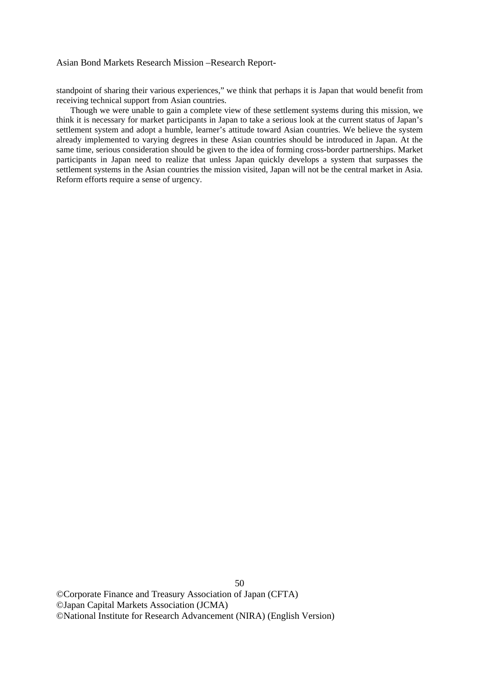standpoint of sharing their various experiences," we think that perhaps it is Japan that would benefit from receiving technical support from Asian countries.

 Though we were unable to gain a complete view of these settlement systems during this mission, we think it is necessary for market participants in Japan to take a serious look at the current status of Japan's settlement system and adopt a humble, learner's attitude toward Asian countries. We believe the system already implemented to varying degrees in these Asian countries should be introduced in Japan. At the same time, serious consideration should be given to the idea of forming cross-border partnerships. Market participants in Japan need to realize that unless Japan quickly develops a system that surpasses the settlement systems in the Asian countries the mission visited, Japan will not be the central market in Asia. Reform efforts require a sense of urgency.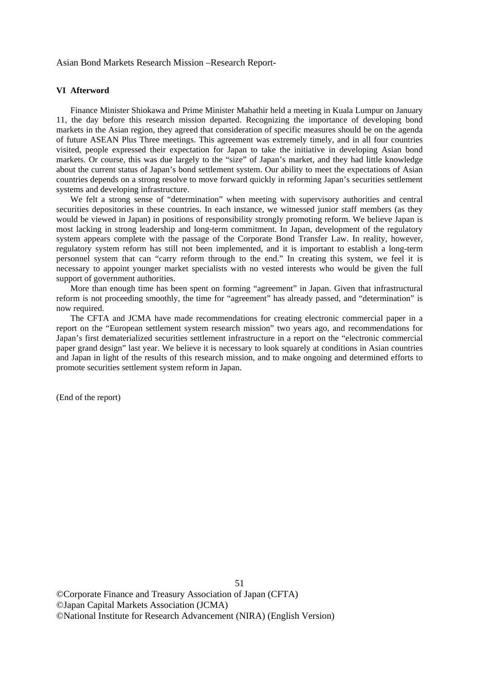#### **VI Afterword**

 Finance Minister Shiokawa and Prime Minister Mahathir held a meeting in Kuala Lumpur on January 11, the day before this research mission departed. Recognizing the importance of developing bond markets in the Asian region, they agreed that consideration of specific measures should be on the agenda of future ASEAN Plus Three meetings. This agreement was extremely timely, and in all four countries visited, people expressed their expectation for Japan to take the initiative in developing Asian bond markets. Or course, this was due largely to the "size" of Japan's market, and they had little knowledge about the current status of Japan's bond settlement system. Our ability to meet the expectations of Asian countries depends on a strong resolve to move forward quickly in reforming Japan's securities settlement systems and developing infrastructure.

 We felt a strong sense of "determination" when meeting with supervisory authorities and central securities depositories in these countries. In each instance, we witnessed junior staff members (as they would be viewed in Japan) in positions of responsibility strongly promoting reform. We believe Japan is most lacking in strong leadership and long-term commitment. In Japan, development of the regulatory system appears complete with the passage of the Corporate Bond Transfer Law. In reality, however, regulatory system reform has still not been implemented, and it is important to establish a long-term personnel system that can "carry reform through to the end." In creating this system, we feel it is necessary to appoint younger market specialists with no vested interests who would be given the full support of government authorities.

 More than enough time has been spent on forming "agreement" in Japan. Given that infrastructural reform is not proceeding smoothly, the time for "agreement" has already passed, and "determination" is now required.

 The CFTA and JCMA have made recommendations for creating electronic commercial paper in a report on the "European settlement system research mission" two years ago, and recommendations for Japan's first dematerialized securities settlement infrastructure in a report on the "electronic commercial paper grand design" last year. We believe it is necessary to look squarely at conditions in Asian countries and Japan in light of the results of this research mission, and to make ongoing and determined efforts to promote securities settlement system reform in Japan.

51

(End of the report)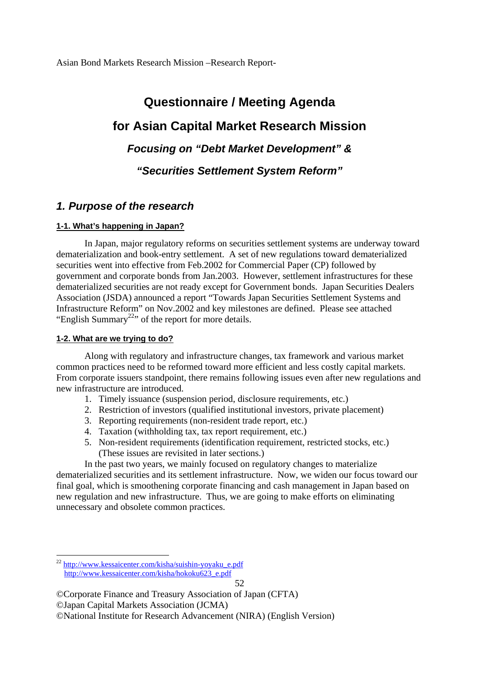# **Questionnaire / Meeting Agenda for Asian Capital Market Research Mission**  *Focusing on "Debt Market Development" & "Securities Settlement System Reform"*

## *1. Purpose of the research*

## **1-1. What's happening in Japan?**

In Japan, major regulatory reforms on securities settlement systems are underway toward dematerialization and book-entry settlement. A set of new regulations toward dematerialized securities went into effective from Feb.2002 for Commercial Paper (CP) followed by government and corporate bonds from Jan.2003. However, settlement infrastructures for these dematerialized securities are not ready except for Government bonds. Japan Securities Dealers Association (JSDA) announced a report "Towards Japan Securities Settlement Systems and Infrastructure Reform" on Nov.2002 and key milestones are defined. Please see attached "English Summary<sup>22</sup>" of the report for more details.

## **1-2. What are we trying to do?**

Along with regulatory and infrastructure changes, tax framework and various market common practices need to be reformed toward more efficient and less costly capital markets. From corporate issuers standpoint, there remains following issues even after new regulations and new infrastructure are introduced.

- 1. Timely issuance (suspension period, disclosure requirements, etc.)
- 2. Restriction of investors (qualified institutional investors, private placement)
- 3. Reporting requirements (non-resident trade report, etc.)
- 4. Taxation (withholding tax, tax report requirement, etc.)
- 5. Non-resident requirements (identification requirement, restricted stocks, etc.) (These issues are revisited in later sections.)

 In the past two years, we mainly focused on regulatory changes to materialize dematerialized securities and its settlement infrastructure. Now, we widen our focus toward our final goal, which is smoothening corporate financing and cash management in Japan based on new regulation and new infrastructure. Thus, we are going to make efforts on eliminating unnecessary and obsolete common practices.

1

<sup>&</sup>lt;sup>22</sup> http://www.kessaicenter.com/kisha/suishin-yoyaku\_e.pdf http://www.kessaicenter.com/kisha/hokoku623\_e.pdf

<sup>©</sup>Corporate Finance and Treasury Association of Japan (CFTA) ©Japan Capital Markets Association (JCMA) ©National Institute for Research Advancement (NIRA) (English Version)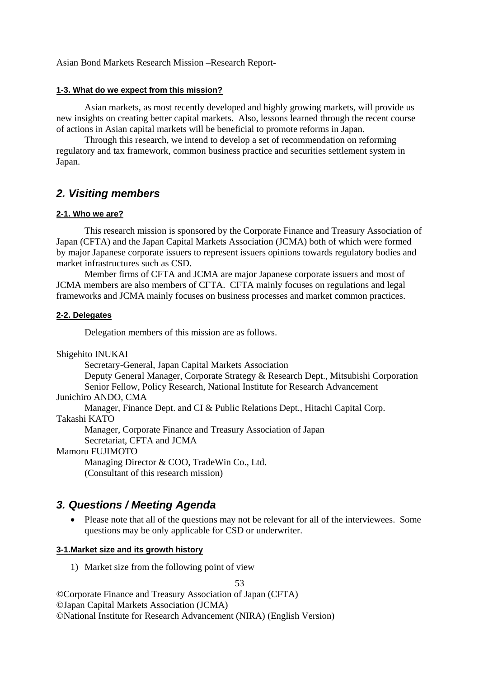## **1-3. What do we expect from this mission?**

Asian markets, as most recently developed and highly growing markets, will provide us new insights on creating better capital markets. Also, lessons learned through the recent course of actions in Asian capital markets will be beneficial to promote reforms in Japan.

Through this research, we intend to develop a set of recommendation on reforming regulatory and tax framework, common business practice and securities settlement system in Japan.

# *2. Visiting members*

## **2-1. Who we are?**

 This research mission is sponsored by the Corporate Finance and Treasury Association of Japan (CFTA) and the Japan Capital Markets Association (JCMA) both of which were formed by major Japanese corporate issuers to represent issuers opinions towards regulatory bodies and market infrastructures such as CSD.

Member firms of CFTA and JCMA are major Japanese corporate issuers and most of JCMA members are also members of CFTA. CFTA mainly focuses on regulations and legal frameworks and JCMA mainly focuses on business processes and market common practices.

## **2-2. Delegates**

Delegation members of this mission are as follows.

Shigehito INUKAI

Secretary-General, Japan Capital Markets Association

Deputy General Manager, Corporate Strategy & Research Dept., Mitsubishi Corporation Senior Fellow, Policy Research, National Institute for Research Advancement

Junichiro ANDO, CMA

Manager, Finance Dept. and CI & Public Relations Dept., Hitachi Capital Corp.

Takashi KATO

Manager, Corporate Finance and Treasury Association of Japan Secretariat, CFTA and JCMA

## Mamoru FUJIMOTO

Managing Director & COO, TradeWin Co., Ltd. (Consultant of this research mission)

# *3. Questions / Meeting Agenda*

Please note that all of the questions may not be relevant for all of the interviewees. Some questions may be only applicable for CSD or underwriter.

## **3-1.Market size and its growth history**

1) Market size from the following point of view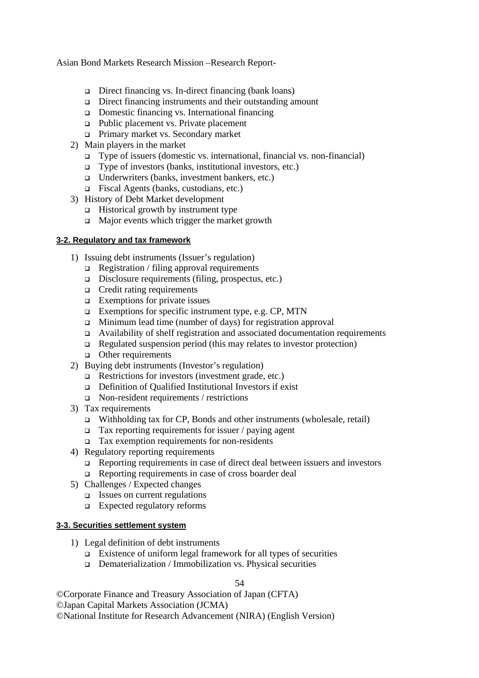- Direct financing vs. In-direct financing (bank loans)
- Direct financing instruments and their outstanding amount
- Domestic financing vs. International financing
- $\Box$  Public placement vs. Private placement
- Primary market vs. Secondary market
- 2) Main players in the market
	- $\Box$  Type of issuers (domestic vs. international, financial vs. non-financial)
	- $\Box$  Type of investors (banks, institutional investors, etc.)
	- $\Box$  Underwriters (banks, investment bankers, etc.)
	- Fiscal Agents (banks, custodians, etc.)
- 3) History of Debt Market development
	- $\Box$  Historical growth by instrument type
	- $\Box$  Major events which trigger the market growth

## **3-2. Regulatory and tax framework**

- 1) Issuing debt instruments (Issuer's regulation)
	- $\Box$  Registration / filing approval requirements
	- $\Box$  Disclosure requirements (filing, prospectus, etc.)
	- Credit rating requirements
	- $\Box$  Exemptions for private issues
	- Exemptions for specific instrument type, e.g. CP, MTN
	- Minimum lead time (number of days) for registration approval
	- Availability of shelf registration and associated documentation requirements
	- $\Box$  Regulated suspension period (this may relates to investor protection)
	- **Q** Other requirements
- 2) Buying debt instruments (Investor's regulation)
	- $\Box$  Restrictions for investors (investment grade, etc.)
	- Definition of Qualified Institutional Investors if exist
	- Non-resident requirements / restrictions
- 3) Tax requirements
	- $\Box$  Withholding tax for CP, Bonds and other instruments (wholesale, retail)
	- Tax reporting requirements for issuer / paying agent
	- $\Box$  Tax exemption requirements for non-residents
- 4) Regulatory reporting requirements
	- Reporting requirements in case of direct deal between issuers and investors
	- $\Box$  Reporting requirements in case of cross boarder deal
- 5) Challenges / Expected changes
	- $\Box$  Issues on current regulations
	- Expected regulatory reforms

## **3-3. Securities settlement system**

- 1) Legal definition of debt instruments
	- $\Box$  Existence of uniform legal framework for all types of securities
	- $\Box$  Dematerialization / Immobilization vs. Physical securities

54